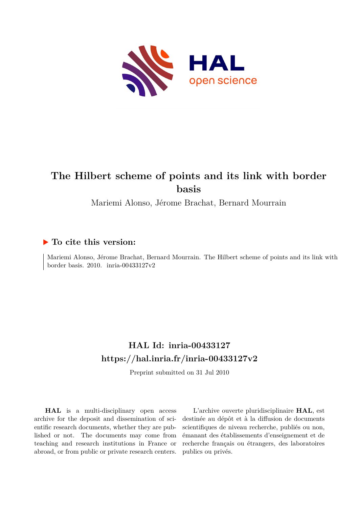

# **The Hilbert scheme of points and its link with border basis**

Mariemi Alonso, Jérome Brachat, Bernard Mourrain

# **To cite this version:**

Mariemi Alonso, Jérome Brachat, Bernard Mourrain. The Hilbert scheme of points and its link with border basis. 2010. inria-00433127v2

# **HAL Id: inria-00433127 <https://hal.inria.fr/inria-00433127v2>**

Preprint submitted on 31 Jul 2010

**HAL** is a multi-disciplinary open access archive for the deposit and dissemination of scientific research documents, whether they are published or not. The documents may come from teaching and research institutions in France or abroad, or from public or private research centers.

L'archive ouverte pluridisciplinaire **HAL**, est destinée au dépôt et à la diffusion de documents scientifiques de niveau recherche, publiés ou non, émanant des établissements d'enseignement et de recherche français ou étrangers, des laboratoires publics ou privés.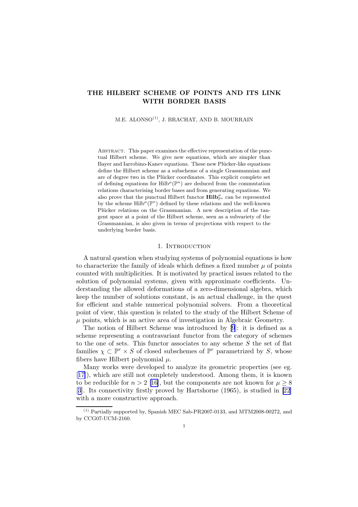## THE HILBERT SCHEME OF POINTS AND ITS LINK WITH BORDER BASIS

 $M.E.$  ALONSO<sup> $(1)$ </sup>, J. BRACHAT, AND B. MOURRAIN

ABSTRACT. This paper examines the effective representation of the punctual Hilbert scheme. We give new equations, which are simpler than Bayer and Iarrobino-Kanev equations. These new Plücker-like equations define the Hilbert scheme as a subscheme of a single Grassmannian and are of degree two in the Plücker coordinates. This explicit complete set of defining equations for  $\text{Hilb}^{\mu}(\mathbb{P}^n)$  are deduced from the commutation relations characterising border bases and from generating equations. We also prove that the punctual Hilbert functor  $\text{Hilb}_{\mathbb{P}^n}^{\mu}$  can be represented by the scheme  $\text{Hilb}^{\mu}(\mathbb{P}^n)$  defined by these relations and the well-known Plücker relations on the Grassmanian. A new description of the tangent space at a point of the Hilbert scheme, seen as a subvariety of the Grassmannian, is also given in terms of projections with respect to the underlying border basis.

#### 1. INTRODUCTION

A natural question when studying systems of polynomial equations is how to characterize the family of ideals which defines a fixed number  $\mu$  of points counted with multiplicities. It is motivated by practical issues related to the solution of polynomial systems, given with approximate coefficients. Understanding the allowed deformations of a zero-dimensional algebra, which keep the number of solutions constant, is an actual challenge, in the quest for efficient and stable numerical polynomial solvers. From a theoretical point of view, this question is related to the study of the Hilbert Scheme of  $\mu$  points, which is an active area of investigation in Algebraic Geometry.

The notion of Hilbert Scheme was introduced by [\[9](#page-38-0)]: it is defined as a scheme representing a contravariant functor from the category of schemes to the one of sets. This functor associates to any scheme  $S$  the set of flat families  $\chi \subset \mathbb{P}^r \times S$  of closed subschemes of  $\mathbb{P}^r$  parametrized by S, whose fibers have Hilbert polynomial  $\mu$ .

Many works were developed to analyze its geometric properties (see eg. [[17\]](#page-39-0)), which are still not completely understood. Among them, it is known to be reducible for  $n > 2$  [\[16\]](#page-39-0), but the components are not known for  $\mu \geq 8$ [[3](#page-38-0)]. Its connectivity firstly proved by Hartshorne (1965), is studied in [\[22](#page-39-0)] with a more constructive approach.

<sup>(1)</sup> Partially supported by, Spanish MEC Sab-PR2007-0133, and MTM2008-00272, and by CCG07-UCM-2160.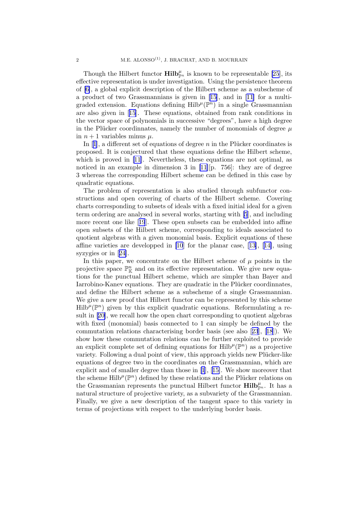Though the Hilbert functor  $\text{Hilb}_{\mathbb{P}^n}^{\mu}$  is known to be representable [\[25](#page-39-0)], its effective representation is under investigation. Using the persistence theorem of [\[6\]](#page-38-0), a global explicit description of the Hilbert scheme as a subscheme of a product of two Grassmannians is given in [\[15](#page-39-0)], and in [\[11\]](#page-38-0) for a multigraded extension. Equations defining  $Hilb^{\mu}(\mathbb{P}^{n})$  in a single Grassmannian are also given in[[15](#page-39-0)]. These equations, obtained from rank conditions in the vector space of polynomials in successive "degrees", have a high degree in the Plücker coordinnates, namely the number of monomials of degree  $\mu$ in  $n + 1$  variables minus  $\mu$ .

In[[1](#page-38-0)], a different set of equations of degree n in the Plücker coordinates is proposed. It is conjectured that these equations define the Hilbert scheme, which is proved in [\[11](#page-38-0)]. Nevertheless, these equations are not optimal, as noticed in an example in dimension 3 in [\[11](#page-38-0)][p. 756]: they are of degree 3 whereas the corresponding Hilbert scheme can be defined in this case by quadratic equations.

The problem of representation is also studied through subfunctor constructions and open covering of charts of the Hilbert scheme. Covering charts corresponding to subsets of ideals with a fixed initial ideal for a given term ordering are analysed in several works, starting with [\[5](#page-38-0)], and including more recent one like[[19](#page-39-0)]. These open subsets can be embedded into affine open subsets of the Hilbert scheme, corresponding to ideals associated to quotient algebras with a given monomial basis. Explicit equations of these affine varieties are developped in [\[10](#page-38-0)] for the planar case, [\[13\]](#page-38-0),[[14\]](#page-39-0), using syzygies or in[[24\]](#page-39-0).

In this paper, we concentrate on the Hilbert scheme of  $\mu$  points in the projective space  $\mathbb{P}^n_{\mathbb{K}}$  and on its effective representation. We give new equations for the punctual Hilbert scheme, which are simpler than Bayer and Iarrobino-Kanev equations. They are quadratic in the Plücker coordinnates, and define the Hilbert scheme as a subscheme of a single Grassmannian. We give a new proof that Hilbert functor can be represented by this scheme  $Hilb^{\mu}(\mathbb{P}^{n})$  given by this explicit quadratic equations. Reformulating a result in[[20\]](#page-39-0), we recall how the open chart corresponding to quotient algebras with fixed (monomial) basis connected to 1 can simply be defined by the commutation relations characterising border basis (see also[[23](#page-39-0)],[[18](#page-39-0)]). We show how these commutation relations can be further exploited to provide an explicit complete set of defining equations for  $\text{Hilb}^{\mu}(\mathbb{P}^n)$  as a projective variety. Following a dual point of view, this approach yields new Plücker-like equations of degree two in the coordinates on the Grassmannian, which are explicit and of smaller degree than those in [\[1](#page-38-0)],[[15\]](#page-39-0). We show moreover that the scheme  $\text{Hilb}^{\mu}(\mathbb{P}^n)$  defined by these relations and the Plücker relations on the Grassmanian represents the punctual Hilbert functor  $\text{Hilb}_{\mathbb{P}^n}^{\mu}$ . It has a natural structure of projective variety, as a subvariety of the Grassmannian. Finally, we give a new description of the tangent space to this variety in terms of projections with respect to the underlying border basis.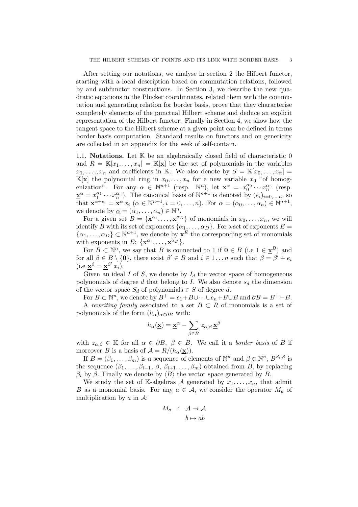<span id="page-3-0"></span>After setting our notations, we analyse in section 2 the Hilbert functor, starting with a local description based on commutation relations, followed by and subfunctor constructions. In Section 3, we describe the new quadratic equations in the Plücker coordinnates, related them with the commutation and generating relation for border basis, prove that they characterise completely elements of the punctual Hilbert scheme and deduce an explicit representation of the Hilbert functor. Finally in Section 4, we show how the tangent space to the Hilbert scheme at a given point can be defined in terms border basis computation. Standard results on functors and on genericity are collected in an appendix for the seek of self-contain.

1.1. **Notations.** Let  $K$  be an algebraically closed field of characteristic  $0$ and  $R = \mathbb{K}[x_1,\ldots,x_n] = \mathbb{K}[\underline{\mathbf{x}}]$  be the set of polynomials in the variables  $x_1, \ldots, x_n$  and coefficients in K. We also denote by  $S = \mathbb{K}[x_0, \ldots, x_n] =$  $\mathbb{K}[\mathbf{x}]$  the polynomial ring in  $x_0, \ldots, x_n$  for a new variable  $x_0$  "of homogenization". For any  $\alpha \in \mathbb{N}^{n+1}$  (resp.  $\mathbb{N}^n$ ), let  $\mathbf{x}^{\alpha} = x_0^{\alpha_0} \cdots x_n^{\alpha_n}$  (resp.  $\underline{\mathbf{x}}^{\alpha} = x_1^{\alpha_1} \cdots x_n^{\alpha_n}$ . The canonical basis of  $\mathbb{N}^{n+1}$  is denoted by  $(e_i)_{i=0,\dots,n}$ , so that  $\mathbf{x}^{\alpha+e_i} = \mathbf{x}^{\alpha} x_i \ (\alpha \in \mathbb{N}^{n+1}, i = 0, \dots, n)$ . For  $\alpha = (\alpha_0, \dots, \alpha_n) \in \mathbb{N}^{n+1}$ , we denote by  $\underline{\alpha} = (\alpha_1, \dots, \alpha_n) \in \mathbb{N}^n$ .

For a given set  $B = {\mathbf{x}^{\alpha_1}, \dots, \mathbf{x}^{\alpha_D}}$  of monomials in  $x_0, \dots, x_n$ , we will identify B with its set of exponents  $\{\alpha_1, \dots, \alpha_D\}$ . For a set of exponents  $E =$  $\{\alpha_1, \ldots, \alpha_D\} \subset \mathbb{N}^{n+1}$ , we denote by  $\mathbf{x}^E$  the corresponding set of monomials with exponents in E:  $\{x^{\alpha_1}, \ldots, x^{\alpha_D}\}.$ 

For  $B \subset \mathbb{N}^n$ , we say that B is connected to 1 if  $\mathbf{0} \in B$  (i.e  $1 \in \mathbf{\underline{x}}^B$ ) and for all  $\beta \in B \setminus \{0\}$ , there exist  $\beta' \in B$  and  $i \in 1 \dots n$  such that  $\beta = \beta' + e_i$ (i.e  $\underline{\mathbf{x}}^{\beta} = \underline{\mathbf{x}}^{\beta'} x_i$ ).

Given an ideal I of S, we denote by  $I_d$  the vector space of homogeneous polynomials of degree d that belong to I. We also denote  $s_d$  the dimension of the vector space  $S_d$  of polynomials  $\in S$  of degree d.

For  $B \subset \mathbb{N}^n$ , we denote by  $B^+ = e_1 + B \cup \cdots \cup e_n + B \cup B$  and  $\partial B = B^+ - B$ .

A *rewriting family* associated to a set  $B \subset R$  of monomials is a set of polynomials of the form  $(h_{\alpha})_{\alpha \in \partial B}$  with:

$$
h_\alpha(\underline{\mathbf{x}}) = \underline{\mathbf{x}}^\alpha - \sum_{\beta \in B} z_{\alpha,\beta} \, \underline{\mathbf{x}}^\beta
$$

with  $z_{\alpha,\beta} \in \mathbb{K}$  for all  $\alpha \in \partial B$ ,  $\beta \in B$ . We call it a *border basis* of B if moreover B is a basis of  $\mathcal{A} = R/(h_{\alpha}(\mathbf{x})).$ 

If  $B = (\beta_1, \ldots, \beta_m)$  is a sequence of elements of  $\mathbb{N}^n$  and  $\beta \in \mathbb{N}^n$ ,  $B^{\beta_i|\beta}$  is the sequence  $(\beta_1, \ldots, \beta_{i-1}, \beta, \beta_{i+1}, \ldots, \beta_m)$  obtained from B, by replacing  $β<sub>i</sub>$  by  $β$ . Finally we denote by  $\langle B \rangle$  the vector space generated by B.

We study the set of K-algebras A generated by  $x_1, \ldots, x_n$ , that admit B as a monomial basis. For any  $a \in \mathcal{A}$ , we consider the operator  $M_a$  of multiplication by  $a$  in  $\mathcal{A}$ :

$$
M_a : A \to A
$$

$$
b \mapsto ab
$$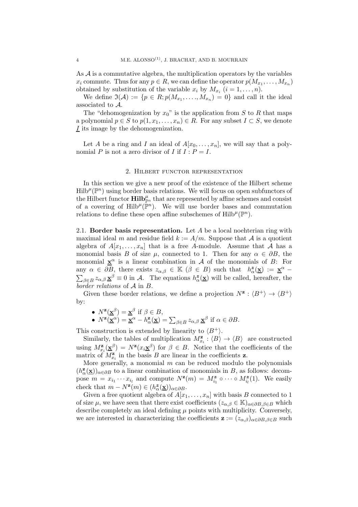<span id="page-4-0"></span>As  $\mathcal A$  is a commutative algebra, the multiplication operators by the variables  $x_i$  commute. Thus for any  $p \in R$ , we can define the operator  $p(M_{x_1}, \ldots, M_{x_n})$ obtained by substitution of the variable  $x_i$  by  $M_{x_i}$   $(i = 1, \ldots, n)$ .

We define  $\mathfrak{I}(\mathcal{A}) := \{p \in R; p(M_{x_1}, \ldots, M_{x_n}) = 0\}$  and call it the ideal associated to A.

The "dehomogenization by  $x_0$ " is the application from S to R that maps a polynomial  $p \in S$  to  $p(1, x_1, \ldots, x_n) \in R$ . For any subset  $I \subset S$ , we denote I its image by the dehomogenization.

Let A be a ring and I an ideal of  $A[x_0, \ldots, x_n]$ , we will say that a polynomial P is not a zero divisor of I if  $I : P = I$ .

#### 2. Hilbert functor representation

In this section we give a new proof of the existence of the Hilbert scheme  $\text{Hilb}^{\mu}(\mathbb{P}^n)$  using border basis relations. We will focus on open subfunctors of the Hilbert functor  $\text{Hilb}_{\mathbb{P}^n}^{\mu}$  that are represented by affine schemes and consist of a covering of Hilb<sup> $\mu$ </sup>( $\mathbb{P}^n$ ). We will use border bases and commutation relations to define these open affine subschemes of  $\text{Hilb}^{\mu}(\mathbb{P}^n)$ .

2.1. Border basis representation. Let  $A$  be a local noehterian ring with maximal ideal m and residue field  $k := A/m$ . Suppose that A is a quotient algebra of  $A[x_1, \ldots, x_n]$  that is a free A-module. Assume that A has a monomial basis B of size  $\mu$ , connected to 1. Then for any  $\alpha \in \partial B$ , the monomial  $\underline{\mathbf{x}}^{\alpha}$  is a linear combination in A of the monomials of B: For any  $\alpha \in \partial B$ , there exists  $z_{\alpha,\beta} \in \mathbb{K}$  ( $\beta \in B$ ) such that  $h^{\mathbf{z}}_{\alpha}(\mathbf{x}) := \mathbf{x}^{\alpha}$  $\sum_{\beta \in B} z_{\alpha,\beta} \underline{\mathbf{x}}^{\beta} \equiv 0$  in A. The equations  $h_{\alpha}^{\mathbf{z}}$  $\frac{z}{\alpha}(\underline{\mathbf{x}})$  will be called, hereafter, the *border relations* of A in B.

Given these border relations, we define a projection  $N^{\mathbf{z}}: \langle B^+ \rangle \to \langle B^+ \rangle$ by:

• 
$$
N^{\mathbf{z}}(\underline{\mathbf{x}}^{\beta}) = \underline{\mathbf{x}}^{\beta}
$$
 if  $\beta \in B$ ,

• 
$$
N^{\mathbf{z}}(\underline{\mathbf{x}}^{\alpha}) = \underline{\mathbf{x}}^{\alpha} - h_{\alpha}^{\mathbf{z}}(\underline{\mathbf{x}}) = \sum_{\beta \in B} z_{\alpha,\beta} \underline{\mathbf{x}}^{\beta}
$$
 if  $\alpha \in \partial B$ .

This construction is extended by linearity to  $\langle B^+\rangle$ .

Similarly, the tables of multiplication  $M_{x_i}^{\mathbf{z}} : \langle B \rangle \to \langle B \rangle$  are constructed using  $M_{x_i}^{\mathbf{z}}(\underline{\mathbf{x}}^{\beta}) = N^{\mathbf{z}}(x_i \underline{\mathbf{x}}^{\beta})$  for  $\beta \in B$ . Notice that the coefficients of the matrix of  $M_{x_i}^{\mathbf{z}}$  in the basis B are linear in the coefficients **z**.

More generally, a monomial  $m$  can be reduced modulo the polynomials  $(h^{\mathbf{z}}_{\alpha})$  $(\mathbf{x}(\mathbf{x}))_{\alpha \in \partial B}$  to a linear combination of monomials in B, as follows: decompose  $m = x_{i_1} \cdots x_{i_l}$  and compute  $N^{\mathbf{z}}(m) = M^{\mathbf{z}}_{i_1} \circ \cdots \circ M^{\mathbf{z}}_{i_l}(1)$ . We easily check that  $m - N^{\mathbf{z}}(m) \in (h_{\alpha}^{\mathbf{z}}(\underline{\mathbf{x}}))_{\alpha \in \partial B}$ .

Given a free quotient algebra of  $A[x_1, \ldots, x_n]$  with basis B connected to 1 of size  $\mu$ , we have seen that there exist coefficients  $(z_{\alpha,\beta} \in \mathbb{K})_{\alpha \in \partial B, \beta \in B}$  which describe completely an ideal defining  $\mu$  points with multiplicity. Conversely, we are interested in characterizing the coefficients  $\mathbf{z} := (z_{\alpha,\beta})_{\alpha \in \partial B, \beta \in B}$  such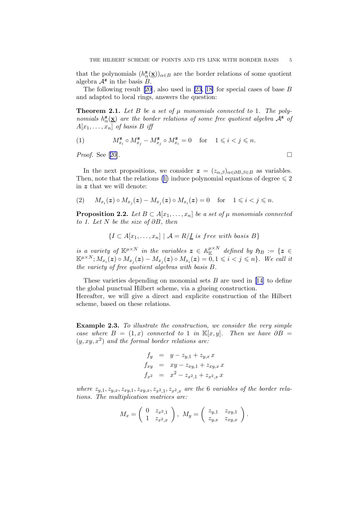<span id="page-5-0"></span>that the polynomials  $(h^{\mathbf{z}}_{\alpha})$  $(\mathbf{x}_\alpha(\mathbf{x}))_{\alpha \in B}$  are the border relations of some quotient algebra  $\mathcal{A}^{\mathbf{z}}$  in the basis  $\mathcal{B}$ .

The following result[[20\]](#page-39-0), also used in [\[23](#page-39-0), [18\]](#page-39-0) for special cases of base B and adapted to local rings, answers the question:

**Theorem 2.1.** Let B be a set of  $\mu$  monomials connected to 1. The poly*nomials*  $h^{\mathbf{z}}_{\alpha}(\underline{\mathbf{x}})$  *are the border relations of some free quotient algebra*  $\mathcal{A}^{\mathbf{z}}$  *of*  $A[x_1, \ldots, x_n]$  of basis B iff

$$
(1) \hspace{1cm} M_{x_i}^{\mathbf{z}} \circ M_{x_j}^{\mathbf{z}} - M_{x_j}^{\mathbf{z}} \circ M_{x_i}^{\mathbf{z}} = 0 \hspace{0.3cm} \text{for} \hspace{0.3cm} 1 \leqslant i < j \leqslant n.
$$

*Proof.*See [[20\]](#page-39-0). □

In the next propositions, we consider  $z = (z_{\alpha,\beta})_{\alpha \in \partial B, \beta \in B}$  as variables. Then, note that the relations (1) induce polynomial equations of degree  $\leq 2$ in z that we will denote:

$$
(2) \qquad M_{x_i}(z) \circ M_{x_j}(z) - M_{x_j}(z) \circ M_{x_i}(z) = 0 \quad \text{for} \quad 1 \leq i < j \leq n.
$$

**Proposition 2.2.** Let  $B \subset A[x_1, \ldots, x_n]$  be a set of  $\mu$  monomials connected *to 1. Let* N *be the size of* ∂B*, then*

$$
\{I \subset A[x_1,\ldots,x_n] \mid A = R/\underline{I} \text{ is free with basis } B\}
$$

*is a variety of*  $\mathbb{K}^{\mu \times N}$  *in the variables*  $\boldsymbol{z} \in \mathbb{A}_{\mathbb{K}}^{\mu \times N}$  defined by  $\mathfrak{H}_B := \{ \boldsymbol{z} \in$  $\mathbb{K}^{\mu\times N}; M_{x_i}(\boldsymbol{z})\circ M_{x_j}(\boldsymbol{z}) - M_{x_j}(\boldsymbol{z})\circ M_{x_i}(\boldsymbol{z}) = \overset{\sim}{0}, 1\leqslant i < j \leqslant n\}$ *. We call it the variety of free quotient algebras with basis* B*.*

These varieties depending on monomial sets  $B$  are used in [\[14\]](#page-39-0) to define the global punctual Hilbert scheme, via a glueing construction. Hereafter, we will give a direct and explicite construction of the Hilbert scheme, based on these relations.

Example 2.3. *To illustrate the construction, we consider the very simple case where*  $B = (1, x)$  *connected to* 1 *in* K[x, y]. Then we have  $\partial B =$ (y, xy, x<sup>2</sup> ) *and the formal border relations are:*

$$
f_y = y - z_{y,1} + z_{y,x} x
$$
  
\n
$$
f_{xy} = xy - z_{xy,1} + z_{xy,x} x
$$
  
\n
$$
f_{x^2} = x^2 - z_{x^2,1} + z_{x^2,x} x
$$

where  $z_{y,1}, z_{y,x}, z_{xy,1}, z_{xy,x}, z_{x^2,1}, z_{x^2,x}$  are the 6 *variables of the border relations. The multiplication matrices are:*

$$
M_x = \left(\begin{array}{cc} 0 & z_{x^2,1} \\ 1 & z_{x^2,x} \end{array}\right), \ M_y = \left(\begin{array}{cc} z_{y,1} & z_{xy,1} \\ z_{y,x} & z_{xy,x} \end{array}\right).
$$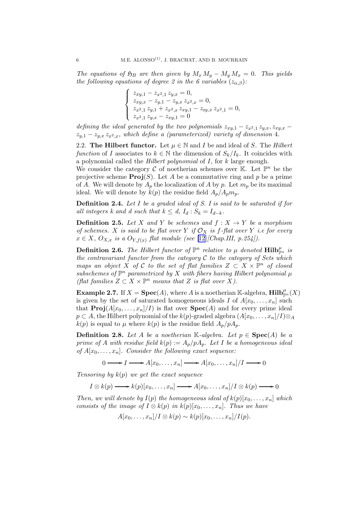<span id="page-6-0"></span>*The equations of*  $\mathfrak{H}_B$  *are then given by*  $M_x M_y - M_y M_x = 0$ *. This yields the following equations of degree 2 in the 6 variables*  $(z_{\alpha,\beta})$ *:* 

$$
\begin{cases}\nz_{xy,1} - z_{x^2,1} z_{y,x} = 0, \\
z_{xy,x} - z_{y,1} - z_{y,x} z_{x^2,x} = 0, \\
z_{x^2,1} z_{y,1} + z_{x^2,x} z_{xy,1} - z_{xy,x} z_{x^2,1} = 0, \\
z_{x^2,1} z_{y,x} - z_{xy,1} = 0\n\end{cases}
$$

*defining the ideal generated by the two polynomials*  $z_{xy,1} - z_{x^2,1} z_{y,x}, z_{xy,x} - z_{xy,x} z_{xy,x}$  $z_{y,1} - z_{y,x} z_{x^2,x}$ *, which define a (parameterized) variety of dimension* 4*.* 

2.2. **The Hilbert functor.** Let  $\mu \in \mathbb{N}$  and *I* be and ideal of *S*. The *Hilbert function* of I associates to  $k \in \mathbb{N}$  the dimension of  $S_k/I_k$ . It coincides with a polynomial called the *Hilbert polynomial* of I, for k large enough.

We consider the category  $\mathcal C$  of noetherian schemes over  $\mathbb K$ . Let  $\mathbb P^n$  be the projective scheme  $\text{Proj}(S)$ . Let A be a commutative ring and p be a prime of A. We will denote by  $A_p$  the localization of A by p. Let  $m_p$  be its maximal ideal. We will denote by  $k(p)$  the residue field  $A_p/A_p m_p$ .

Definition 2.4. *Let* I *be a graded ideal of S. I is said to be saturated if for all integers k and d such that*  $k \leq d$ ,  $I_d : S_k = I_{d-k}$ .

**Definition 2.5.** Let X and Y be schemes and  $f: X \to Y$  be a morphism *of schemes.* X *is said to be flat over* Y *if*  $\mathcal{O}_X$  *is f-flat over* Y *i.e for every*  $x \in X$ ,  $O_{X,x}$  *is a*  $O_{Y,f(x)}$  *flat module (see* [\[12](#page-38-0)]*[Chap.III, p.254]).* 

**Definition 2.6.** The Hilbert functor of  $\mathbb{P}^n$  relative to  $\mu$  denoted  $\text{Hilb}_{\mathbb{P}^n}^{\mu}$  is *the contravariant functor from the category* C *to the category of Sets which maps an object* X of C to the set of flat families  $Z \subset X \times \mathbb{P}^n$  of closed  $sub schemes of  $\mathbb{P}^n$  parametrized by  $X$  with fibers having Hilbert polynomial  $\mu$$ *(flat families*  $Z \subset X \times \mathbb{P}^n$  *means that* Z *is flat over* X*)*.

**Example 2.7.** If  $X = \textbf{Spec}(A)$ , where A is a noetherian K-algebra,  $\textbf{Hilb}_{\mathbb{P}^n}^{\mu}(X)$ is given by the set of saturated homogeneous ideals I of  $A[x_0, \ldots, x_n]$  such that  $\text{Proj}(A[x_0, \ldots, x_n]/I)$  is flat over  $\text{Spec}(A)$  and for every prime ideal  $p \subset A$ , the Hilbert polynomial of the  $k(p)$ -graded algebra  $(A[x_0, \ldots, x_n]/I) \otimes_A$  $k(p)$  is equal to  $\mu$  where  $k(p)$  is the residue field  $A_p/pA_p$ .

**Definition 2.8.** Let A be a noetherian K-algebra. Let  $p \in \text{Spec}(A)$  be a *prime of* A *with residue field*  $k(p) := A_p/pA_p$ . Let I be a homogeneous ideal *of*  $A[x_0, \ldots, x_n]$ *. Consider the following exact sequence:* 

 $0 \longrightarrow I \longrightarrow A[x_0, \ldots, x_n] \longrightarrow A[x_0, \ldots, x_n]/I \longrightarrow 0$ 

*Tensoring by* k(p) *we get the exact sequence*

 $I \otimes k(p) \longrightarrow k(p)[x_0, \ldots, x_n] \longrightarrow A[x_0, \ldots, x_n]/I \otimes k(p) \longrightarrow 0$ 

*Then, we will denote by*  $I(p)$  *the homogeneous ideal of*  $k(p)[x_0, \ldots, x_n]$  *which consists of the image of*  $I \otimes k(p)$  *in*  $k(p)[x_0, \ldots, x_n]$ *. Thus we have* 

$$
A[x_0,\ldots,x_n]/I \otimes k(p) \sim k(p)[x_0,\ldots,x_n]/I(p).
$$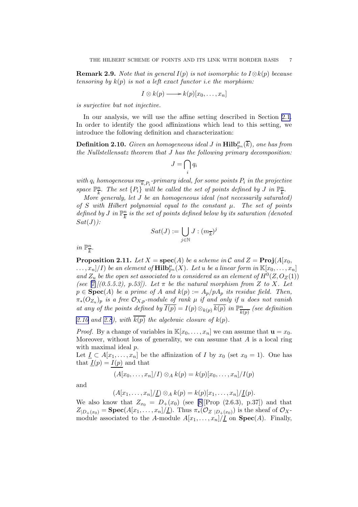<span id="page-7-0"></span>Remark 2.9. *Note that in general* I(p) *is not isomorphic to* I⊗k(p) *because tensoring by* k(p) *is not a left exact functor i.e the morphism:*

$$
I \otimes k(p) \longrightarrow k(p)[x_0, \ldots, x_n]
$$

*is surjective but not injective.*

In our analysis, we will use the affine setting described in Section [2.1](#page-4-0). In order to identify the good affinizations which lead to this setting, we introduce the following definition and characterization:

 $\mathbf{Definition 2.10.}$  *Given an homogeneous ideal J in*  $\mathbf{Hilb}^\mu_{\mathbb{P}^n}(\overline{k}),$  *one has from the Nullstellensatz theorem that* J *has the following primary decomposition:*

$$
J=\bigcap_i q_i
$$

 $with\ q_i\ homogeneous\ m_{\overline{k},P_i}$ -primary ideal, for some points  $P_i$  in the projective *space*  $\mathbb{P}^n_{\overline{k}}$  $\frac{n}{k}$ . The set  $\{P_i\}$  will be called the set of points defined by J in  $\mathbb{P}^n_{\overline{k}}$  $\frac{n}{k}$ .

*More generaly, let* J *be an homogeneous ideal (not necessarily saturated) of* S *with Hilbert polynomial equal to the constant* µ*. The set of points defined by J* in  $\mathbb{P}_{\overline{h}}^n$  $\frac{n}{k}$  is the set of points defined below by its saturation (denoted  $Sat(J)$ :

$$
Sat(J):=\bigcup_{j\in\mathbb{N}}J:(m_{\overline{k}})^j
$$

*in*  $\mathbb{P}^n_{\overline{k}}$  $\frac{n}{k}$ .

**Proposition 2.11.** *Let*  $X = \text{spec}(A)$  *be a scheme in*  $\mathcal{C}$  *and*  $Z = \text{Proj}(A[x_0,$  $\ldots, x_n]$  *(I) be an element of*  $\textbf{Hilb}_{\mathbb{P}^n}^{\mu}(X)$ *. Let u be a linear form in*  $\mathbb{K}[x_0, \ldots, x_n]$ and  $Z_u$  be the open set associated to *u* considered as an element of  $H^0(Z, O_Z(1))$ *(see* [\[7\]](#page-38-0)*[*(0.5.5.2), p.53]). Let  $\pi$  be the natural morphism from Z to X. Let  $p \in \textbf{Spec}(A)$  *be a prime of*  $A$  *and*  $k(p) := A_p/pA_p$  *its residue field. Then,* π∗(OZ<sup>u</sup> )<sup>p</sup> *is a free* OX,p*-module of rank* µ *if and only if* u *does not vanish at any of the points defined by*  $\overline{I(p)} = I(p) \otimes_{k(p)} \overline{k(p)}$  *in*  $\mathbb{P}_{\overline{k}}^n$  $\frac{n}{k(p)}$  (see definition 2.10 and [2.8](#page-6-0)), with  $\overline{k(p)}$  the algebraic closure of  $k(p)$ .

*Proof.* By a change of variables in  $\mathbb{K}[x_0, \ldots, x_n]$  we can assume that  $\mathbf{u} = x_0$ . Moreover, without loss of generality, we can assume that  $A$  is a local ring with maximal ideal  $p$ .

Let  $I \subset A[x_1,\ldots,x_n]$  be the affinization of I by  $x_0$  (set  $x_0 = 1$ ). One has that  $I(p) = I(p)$  and that

$$
(A[x_0,\ldots,x_n]/I) \otimes_A k(p) = k(p)[x_0,\ldots,x_n]/I(p)
$$

and

$$
(A[x_1,\ldots,x_n]/\underline{I})\otimes_A k(p)=k(p)[x_1,\ldots,x_n]/\underline{I}(p).
$$

We also know that  $Z_{x_0} = D_+(x_0)$  (see [\[8\]](#page-38-0)[Prop (2.6.3), p.37]) and that  $Z_{|D_+(x_0)} = \textbf{Spec}(A[x_1,\ldots,x_n]/\underline{I}).$  Thus  $\pi_*(\mathcal{O}_{Z|D_+(x_0)})$  is the sheaf of  $\mathcal{O}_X$ module associated to the A-module  $A[x_1, \ldots, x_n]/\underline{I}$  on  $\text{Spec}(A)$ . Finally,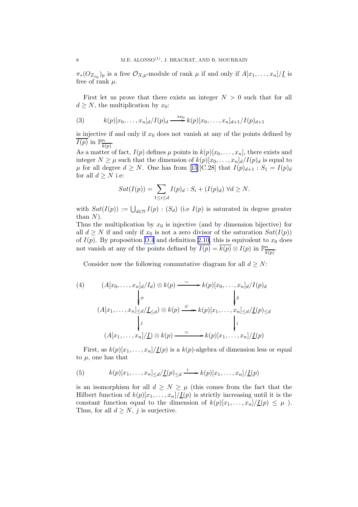<span id="page-8-0"></span> $\pi_*(O_{Z_{x_0}})_p$  is a free  $\mathcal{O}_{X,p}$ -module of rank  $\mu$  if and only if  $A[x_1,\ldots,x_n]/\underline{I}$  is free of rank  $\mu$ .

First let us prove that there exists an integer  $N > 0$  such that for all  $d \geq N$ , the multiplication by  $x_0$ :

(3) 
$$
k(p)[x_0, ..., x_n]_d/I(p)_d \xrightarrow{*x_0} k(p)[x_0, ..., x_n]_{d+1}/I(p)_{d+1}
$$

is injective if and only if  $x_0$  does not vanish at any of the points defined by  $\overline{I(p)}$  in  $\mathbb{P}^n_{\overline{I_n}}$  $\frac{n}{k(p)}$ .

As a matter of fact,  $I(p)$  defines  $\mu$  points in  $k(p)[x_0, \ldots, x_n]$ , there exists and integer  $N \geq \mu$  such that the dimension of  $k(p)[x_0, \ldots, x_n]_d / I(p)_d$  is equal to  $\mu$ for all degree  $d \geq N$ . One has from [[15](#page-39-0)][C.28] that  $I(p)_{d+1} : S_1 = I(p)_d$ for all  $d \geq N$  i.e:

$$
Sat(I(p)) = \sum_{1 \leq i \leq d} I(p)_d : S_i + (I(p)_d) \ \forall d \geq N.
$$

with  $Sat(I(p)) := \bigcup_{d \in \mathbb{N}} I(p) : (S_d)$  (i.e  $I(p)$  is saturated in degree greater than  $N$ ).

Thus the multiplication by  $x_0$  is injective (and by dimension bijective) for all  $d \geq N$  if and only if  $x_0$  is not a zero divisor of the saturation  $Sat(I(p))$ of  $I(p)$ . By proposition [D.4](#page-37-0) and definition [2.10,](#page-7-0) this is equivalent to  $x_0$  does not vanish at any of the points defined by  $\overline{I(p)} = \overline{k(p)} \otimes I(p)$  in  $\mathbb{P}_{\overline{I}}^n$  $\frac{n}{k(p)}$ .

Consider now the following commutative diagram for all  $d\geq N$ :

(4) 
$$
(A[x_0, \ldots, x_n]_d/I_d) \otimes k(p) \xrightarrow{\sim} k(p)[x_0, \ldots, x_n]_d/I(p)_d
$$

$$
\downarrow \phi
$$

$$
(A[x_1, \ldots, x_n] \leq d/\underline{L} \leq d) \otimes k(p) \xrightarrow{\psi} k(p)[x_1, \ldots, x_n] \leq d/\underline{L}(p) \leq d
$$

$$
\downarrow j
$$

$$
(A[x_1, \ldots, x_n]/\underline{I}) \otimes k(p) \xrightarrow{=} k(p)[x_1, \ldots, x_n]/\underline{I}(p)
$$

First, as  $k(p)[x_1, \ldots, x_n]/\underline{I}(p)$  is a  $k(p)$ -algebra of dimension less or equal to  $\mu$ , one has that

(5) 
$$
k(p)[x_1,\ldots,x_n] \leq d/\underline{I}(p) \leq d \xrightarrow{i} k(p)[x_1,\ldots,x_n]/\underline{I}(p)
$$

is an isomorphism for all  $d \geq N \geq \mu$  (this comes from the fact that the Hilbert function of  $k(p)[x_1, \ldots, x_n]/\underline{I}(p)$  is strictly increasing until it is the constant function equal to the dimension of  $k(p)[x_1, \ldots, x_n]/\underline{I}(p) \leq \mu$ ). Thus, for all  $d \geq N$ , j is surjective.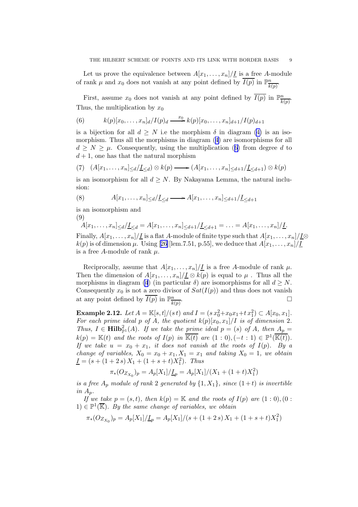Let us prove the equivalence between  $A[x_1, \ldots, x_n]/\underline{I}$  is a free A-module of rank  $\mu$  and  $x_0$  does not vanish at any point defined by  $\overline{I(p)}$  in  $\mathbb{P}^n_{\overline{h}}$  $\frac{n}{k(p)}$ .

First, assume  $x_0$  does not vanish at any point defined by  $\overline{I(p)}$  in  $\mathbb{P}^n_{\overline{k}}$  $\frac{n}{k(p)}$ . Thus, the multiplication by  $x_0$ 

(6) 
$$
k(p)[x_0, ..., x_n]_d/I(p)_d \xrightarrow{x_0} k(p)[x_0, ..., x_n]_{d+1}/I(p)_{d+1}
$$

is a bijection for all  $d \geq N$  i.e the morphism  $\delta$  in diagram [\(4\)](#page-8-0) is an isomorphism. Thus all the morphisms in diagram([4](#page-8-0)) are isomorphisms for all  $d \geq N \geq \mu$ . Consequently, using the multiplication (6) from degree d to  $d+1$ , one has that the natural morphism

$$
(7) \quad (A[x_1,\ldots,x_n]_{\leq d}/\underline{I}_{\leq d}) \otimes k(p) \longrightarrow (A[x_1,\ldots,x_n]_{\leq d+1}/\underline{I}_{\leq d+1}) \otimes k(p)
$$

is an isomorphism for all  $d \geq N$ . By Nakayama Lemma, the natural inclusion:

(8) 
$$
A[x_1,\ldots,x_n] \leq d/\underline{I} \leq d \longrightarrow A[x_1,\ldots,x_n] \leq d+1/\underline{I} \leq d+1
$$

is an isomorphism and

(9)

 $A[x_1, \ldots, x_n] \leq d/\underline{I}_{\leq d} = A[x_1, \ldots, x_n] \leq d+1/\underline{I}_{\leq d+1} = \ldots = A[x_1, \ldots, x_n]/\underline{I}.$ Finally,  $A[x_1, \ldots, x_n]/\underline{I}$  is a flat A-module of finite type such that  $A[x_1, \ldots, x_n]/\underline{I} \otimes$  $k(p)$ is of dimension  $\mu$ . Using [[26\]](#page-39-0)[lem.7.51, p.55], we deduce that  $A[x_1, \ldots, x_n]/\underline{I}$ is a free A-module of rank  $\mu$ .

Reciprocally, assume that  $A[x_1, \ldots, x_n]/\underline{I}$  is a free A-module of rank  $\mu$ . Then the dimension of  $A[x_1, \ldots, x_n]/\underline{I} \otimes k(p)$  is equal to  $\mu$ . Thus all the morphismsin diagram ([4](#page-8-0)) (in particular  $\delta$ ) are isomorphisms for all  $d \geq N$ . Consequently  $x_0$  is not a zero divisor of  $Sat(I(p))$  and thus does not vanish at any point defined by  $\overline{I(p)}$  in  $\mathbb{P}^n_{\overline{I_p}}$  $k(p)$ .

Example 2.12. *Let*  $A = \mathbb{K}[s,t]/(s t)$  *and*  $I = (s x_0^2 + x_0 x_1 + t x_1^2) \subset A[x_0, x_1]$ *.* For each prime ideal p of  $\overrightarrow{A}$ , the quotient  $k(p)[x_0, x_1]/\overrightarrow{I}$  is of dimension 2. *Thus,*  $I \in \textbf{Hilb}_{\mathbb{P}^1}^2(A)$ *. If we take the prime ideal*  $p = (s)$  *of* A, then  $A_p =$  $k(p) = \mathbb{K}(t)$  and the roots of  $I(p)$  in  $\overline{\mathbb{K}(t)}$  are  $(1:0), (-t:1) \in \mathbb{P}^1(\overline{\mathbb{K}(t)})$ . *If we take*  $u = x_0 + x_1$ *, it does not vanish at the roots of*  $I(p)$ *. By a change of variables,*  $X_0 = x_0 + x_1, X_1 = x_1$  *and taking*  $X_0 = 1$ *, we obtain*  $\underline{I} = (s + (1+2s)X_1 + (1+s+t)X_1^2)$ . Thus

$$
\pi_*(O_{Z_{X_0}})_p=A_p[X_1]/\underline{I}_p=A_p[X_1]/(X_1+(1+t)X_1^2)
$$

*is a free*  $A_p$  *module of rank* 2 *generated by*  $\{1, X_1\}$ *, since*  $(1+t)$  *is invertible in* Ap*.*

*If we take*  $p = (s, t)$ *, then*  $k(p) = \mathbb{K}$  *and the roots of*  $I(p)$  *are*  $(1:0)$ *,*  $(0:$  $1) \in \mathbb{P}^1(\overline{\mathbb{K}})$ *. By the same change of variables, we obtain* 

$$
\pi_*(O_{Z_{X_0}})_p = A_p[X_1]/\underline{I}_p = A_p[X_1]/(s + (1+2s)X_1 + (1+s+t)X_1^2)
$$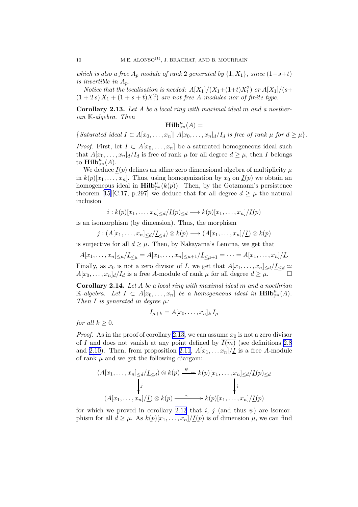<span id="page-10-0"></span>*which is also a free*  $A_p$  *module of rank* 2 *generated by*  $\{1, X_1\}$ *, since*  $(1+s+t)$ *is invertible in* Ap*.*

*Notice that the localisation is needed:*  $A[X_1]/(X_1+(1+t)X_1^2)$  *or*  $A[X_1]/(s+1)$  $(1+2s) X_1 + (1+s+t) X_1^2$  are not free A-modules nor of finite type.

Corollary 2.13. *Let* A *be a local ring with maximal ideal* m *and a noetherian* K*-algebra. Then*

$$
\mathbf{Hilb}_{\mathbb{P}^n}^{\mu}(A) =
$$

 ${Saturated\ ideal}\ I \subset A[x_0,\ldots,x_n] \ | \ A[x_0,\ldots,x_n] \ d/I_d\ is\ free\ of\ rank\ \mu\ for\ d\geq \mu$ .

*Proof.* First, let  $I \subset A[x_0, \ldots, x_n]$  be a saturated homogeneous ideal such that  $A[x_0, \ldots, x_n]_d/I_d$  is free of rank  $\mu$  for all degree  $d \geq \mu$ , then I belongs to  $\mathbf{Hilb}_{\mathbb{P}^n}^{\mu}(A)$ .

We deduce  $\underline{I}(p)$  defines an affine zero dimensional algebra of multiplicity  $\mu$ in  $k(p)[x_1, \ldots, x_n]$ . Thus, using homogenization by  $x_0$  on  $\underline{I}(p)$  we obtain an homogeneous ideal in  $\mathbf{Hilb}_{\mathbb{P}^n}^{\mu}(k(p))$ . Then, by the Gotzmann's persistence theorem[[15\]](#page-39-0)[C.17, p.297] we deduce that for all degree  $d \geq \mu$  the natural inclusion

$$
i: k(p)[x_1, \ldots, x_n] \leq d/\underline{I}(p) \leq d \longrightarrow k(p)[x_1, \ldots, x_n]/\underline{I}(p)
$$

is an isomorphism (by dimension). Thus, the morphism

$$
j:(A[x_1,\ldots,x_n]_{\leq d}/\underline{I}_{\leq d})\otimes k(p)\longrightarrow (A[x_1,\ldots,x_n]/\underline{I})\otimes k(p)
$$

is surjective for all  $d \geq \mu$ . Then, by Nakayama's Lemma, we get that

 $A[x_1, \ldots, x_n] \leq \mu / L \leq \mu = A[x_1, \ldots, x_n] \leq \mu + 1 / L \leq \mu + 1 = \cdots = A[x_1, \ldots, x_n] / L.$ 

Finally, as  $x_0$  is not a zero divisor of I, we get that  $A[x_1, \ldots, x_n] \leq d/\underline{I} \leq d$  $A[x_0, \ldots, x_n]_d/I_d$  is a free A-module of rank  $\mu$  for all degree  $d \geq \mu$ .

Corollary 2.14. *Let* A *be a local ring with maximal ideal* m *and a noethrian*  $\mathbb{K}\text{-}algebra.$  Let  $I \subset A[x_0,\ldots,x_n]$  be a homogeneous ideal in  $\text{Hilb}_{\mathbb{P}^n}^{\mu}(A)$ . *Then* I *is generated in degree* µ*:*

$$
I_{\mu+k}=A[x_0,\ldots,x_n]_k I_\mu
$$

*for all*  $k \geq 0$ *.* 

*Proof.* As in the proof of corollary 2.13, we can assume  $x_0$  is not a zero divisor of I and does not vanish at any point defined by  $\overline{I(m)}$  (see definitions [2.8](#page-6-0)) and [2.10\)](#page-7-0). Then, from proposition [2.11,](#page-7-0)  $A[x_1, \ldots, x_n]/\underline{I}$  is a free A-module of rank  $\mu$  and we get the following diargam:

$$
(A[x_1, \ldots, x_n] \leq d/\underline{L}_{\leq d}) \otimes k(p) \xrightarrow{\psi} k(p)[x_1, \ldots, x_n] \leq d/\underline{L}(p) \leq d
$$
  
\n
$$
\downarrow j
$$
  
\n
$$
(A[x_1, \ldots, x_n]/\underline{L}) \otimes k(p) \xrightarrow{\sim} k(p)[x_1, \ldots, x_n]/\underline{L}(p)
$$

for which we proved in corollary 2.13 that i, j (and thus  $\psi$ ) are isomorphism for all  $d \geq \mu$ . As  $k(p)[x_1, \ldots, x_n]/\underline{I}(p)$  is of dimension  $\mu$ , we can find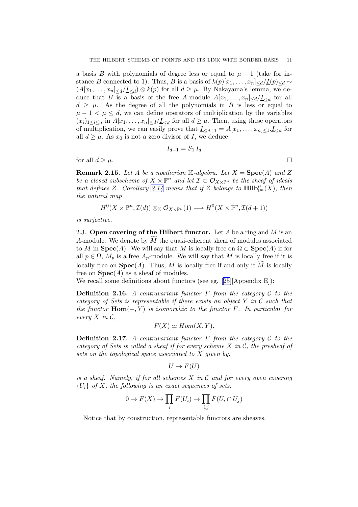a basis B with polynomials of degree less or equal to  $\mu - 1$  (take for instance B connected to 1). Thus, B is a basis of  $k(p)[x_1, \ldots, x_n]_{\le d}/\underline{I}(p)_{\le d}$  ~  $(A[x_1, \ldots, x_n] \le d/\underline{I} \le d) \otimes k(p)$  for all  $d \ge \mu$ . By Nakayama's lemma, we deduce that B is a basis of the free A-module  $A[x_1, \ldots, x_n] \le d/\underline{I} \le d$  for all  $d \geq \mu$ . As the degree of all the polynomials in B is less or equal to  $\mu - 1 < \mu \leq d$ , we can define operators of multiplication by the variables  $(x_i)_{1\leq i\leq n}$  in  $A[x_1,\ldots,x_n]_{\leq d}/\underline{I}_{\leq d}$  for all  $d\geq \mu$ . Then, using these operators of multiplication, we can easily prove that  $\underline{I}_{\leq d+1} = A[x_1, \ldots, x_n]_{\leq 1} \cdot \underline{I}_{\leq d}$  for all  $d \geq \mu$ . As  $x_0$  is not a zero divisor of I, we deduce

$$
I_{d+1} = S_1 I_d
$$

for all  $d \geq \mu$ .

**Remark 2.15.** Let A be a noetherian K-algebra. Let  $X = \text{Spec}(A)$  and Z *be a closed subscheme of*  $X \times \mathbb{P}^n$  *and let*  $\mathcal{I} \subset \mathcal{O}_{X \times \mathbb{P}^n}$  *be the sheaf of ideals that defines* Z. Corollary [2.14](#page-10-0) means that if Z belongs to  $\text{Hilb}^{\mu}_{\mathbb{P}^n}(X)$ , then *the natural map*

$$
H^0(X\times\mathbb{P}^n,\mathcal{I}(d))\otimes_{\mathbb{K}}\mathcal{O}_{X\times\mathbb{P}^n}(1)\longrightarrow H^0(X\times\mathbb{P}^n,\mathcal{I}(d+1))
$$

*is surjective.*

2.3. Open covering of the Hilbert functor. Let A be a ring and M is an A-module. We denote by  $\widetilde{M}$  the quasi-coherent sheaf of modules associated to M in  $\text{Spec}(A)$ . We will say that M is locally free on  $\Omega \subset \text{Spec}(A)$  if for all  $p \in \Omega$ ,  $M_p$  is a free  $A_p$ -module. We will say that M is locally free if it is locally free on  $Spec(A)$ . Thus, M is locally free if and only if M is locally free on  $Spec(A)$  as a sheaf of modules.

We recall some definitions about functors (see eg. [\[25](#page-39-0)][Appendix E]):

Definition 2.16. *A contravariant functor* F *from the category* C *to the category of Sets is representable if there exists an object* Y *in* C *such that the functor*  $\text{Hom}(-, Y)$  *is isomorphic to the functor* F. In particular for *every*  $X$  *in*  $\mathcal{C}$ *,* 

$$
F(X) \simeq Hom(X, Y).
$$

**Definition 2.17.** A contravariant functor  $F$  from the category  $C$  to the *category of Sets is called a sheaf if for every scheme* X *in* C*, the presheaf of sets on the topological space associated to* X *given by:*

$$
U \to F(U)
$$

*is a sheaf. Namely, if for all schemes* X *in* C *and for every open covering* {Ui} *of* X*, the following is an exact sequences of sets:*

$$
0 \to F(X) \to \prod_i F(U_i) \to \prod_{i,j} F(U_i \cap U_j)
$$

Notice that by construction, representable functors are sheaves.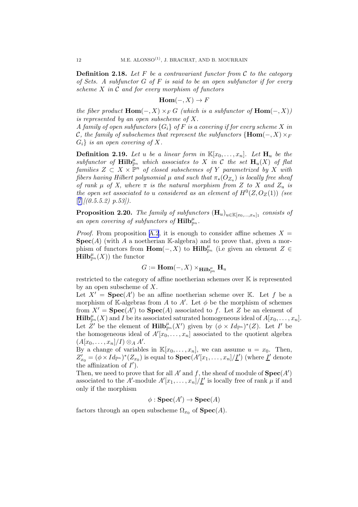<span id="page-12-0"></span>Definition 2.18. *Let* F *be a contravariant functor from* C *to the category of Sets. A subfunctor* G *of* F *is said to be an open subfunctor if for every scheme* X *in* C *and for every morphism of functors*

$$
Hom(-,X) \to F
$$

*the fiber product*  $\text{Hom}(-, X) \times_F G$  *(which is a subfunctor of*  $\text{Hom}(-, X)$ *) is represented by an open subscheme of* X*.*

*A family of open subfunctors*  $\{G_i\}$  *of* F *is a covering if for every scheme* X *in* C<sub>r</sub>, the family of subschemes that represent the subfunctors {**Hom**(−, X)  $\times$ <sub>F</sub>  $G_i$  *is an open covering of X.* 

**Definition 2.19.** Let u be a linear form in  $\mathbb{K}[x_0, \ldots, x_n]$ . Let  $\mathbf{H}_u$  be the  $subfunctor$  of  $\text{Hilb}_{\mathbb{P}^n}^{\mu}$  which associates to X in C the set  $\text{H}_u(X)$  of flat  $families\ Z\ \subset\ X\ \times\ \mathbb{\mathbb{P}}^n\ \ of\ closed\ subschemes\ of\ Y\ parametrized\ by\ X\ with$  $fibers \ having \ Hilbert \ polynomial \ \mu \ and \ such \ that \ \pi_*(O_{Z_u}) \ is \ locally \ free \ sheaf$ *of rank*  $\mu$  *of* X, where  $\pi$  *is the natural morphism from* Z *to* X *and*  $Z_u$  *is the open set associated to u considered as an element of*  $H^0(Z, O_Z(1))$  *(see* [[7](#page-38-0)]*[(0.5.5.2) p.53]).*

**Proposition 2.20.** *The family of subfunctors*  $(\mathbf{H}_u)_{u \in \mathbb{K}[x_0,...,x_n]_1}$  *consists of* an open covering of subfunctors of  $\text{Hilb}_{\mathbb{P}^n}^{\mu}$ .

*Proof.* From proposition [A.2](#page-31-0), it is enough to consider affine schemes  $X =$  $\textbf{Spec}(A)$  (with A a noetherian K-algebra) and to prove that, given a morphism of functors from  $\text{Hom}(-, X)$  to  $\text{Hilb}_{\mathbb{P}^n}^{\mu}$  (i.e given an element  $Z \in$  $\textbf{Hilb}^{\mu}_{\mathbb{P}^n}(X)$  the functor

$$
G:=\mathbf{Hom}(-,X)\times_{\mathbf{Hilb}^\mu_{\mathbb{P}^n}}\mathbf{H}_u
$$

restricted to the category of affine noetherian schemes over K is represented by an open subscheme of X.

Let  $X' = \text{Spec}(A')$  be an affine noetherian scheme over K. Let f be a morphism of K-algebras from A to A'. Let  $\phi$  be the morphism of schemes from  $X' = \text{Spec}(A')$  to  $\text{Spec}(A)$  associated to f. Let Z be an element of  $\mathbf{Hilb}_{\mathbb{P}^n}^{\mu}(X)$  and I be its associated saturated homogeneous ideal of  $A[x_0,\ldots,x_n]$ . Let  $Z'$  be the element of  $\text{Hilb}_{\mathbb{P}^n}^{\mu}(X')$  given by  $(\phi \times Id_{\mathbb{P}^n})^*(Z)$ . Let I' be the homogeneous ideal of  $A'[x_0, \ldots, x_n]$  associated to the quotient algebra  $(A[x_0, \ldots, x_n]/I) \otimes_A A'.$ 

By a change of variables in  $\mathbb{K}[x_0,\ldots,x_n]$ , we can assume  $u = x_0$ . Then,  $Z'_{x_0} = (\phi \times Id_{\mathbb{P}^n})^*(Z_{x_0})$  is equal to  $\textbf{Spec}(A'[x_1, \ldots, x_n]/\underline{I'})$  (where  $\underline{I'}$  denote the affinization of  $I'$ ).

Then, we need to prove that for all  $A'$  and f, the sheaf of module of  $\textbf{Spec}(A')$ associated to the A'-module  $A'[x_1, \ldots, x_n]/\underline{I'}$  is locally free of rank  $\mu$  if and only if the morphism

$$
\phi: \mathbf{Spec}(A') \to \mathbf{Spec}(A)
$$

factors through an open subscheme  $\Omega_{x_0}$  of  $\textbf{Spec}(A)$ .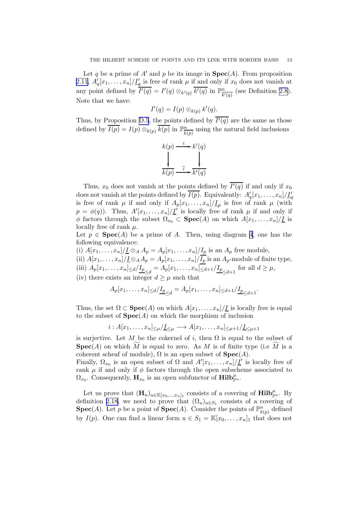Let q be a prime of A' and p be its image in  $\text{Spec}(A)$ . From proposition [2.11,](#page-7-0)  $A'_q[x_1,\ldots,x_n]/\underline{I}'_q$  is free of rank  $\mu$  if and only if  $x_0$  does not vanish at any point defined by  $\overline{I'(q)} = I'(q) \otimes_{k'(q)} \overline{k'(q)}$  in  $\mathbb{P}^n_{\overline{k}}$  $\frac{n}{k'(q)}$  (see Definition [2.8\)](#page-6-0). Note that we have:

$$
I'(q) = I(p) \otimes_{k(p)} k'(q).
$$

Thus, by Proposition [D.5](#page-37-0), the points defined by  $I'(q)$  are the same as those defined by  $\overline{I(p)} = I(p) \otimes_{k(p)} \overline{k(p)}$  in  $\mathbb{P}^n_{\overline{k}}$  $\frac{n}{k(p)}$  using the natural field inclusions

$$
k(p) \xrightarrow{i} k'(q)
$$
  
\n
$$
\downarrow \qquad \qquad \downarrow
$$
  
\n
$$
\overline{k(p)} \xrightarrow{\overline{i}} \overline{k'(q)}
$$

Thus,  $x_0$  does not vanish at the points defined by  $I'(q)$  if and only if  $x_0$ does not vanish at the points defined by  $\overline{I(p)}$ . Equivalently:  $A'_q[x_1,\ldots,x_n]/\underline{I}'_q$ is free of rank  $\mu$  if and only if  $A_p[x_1,\ldots,x_n]/\underline{I}_p$  is free of rank  $\mu$  (with  $p = \phi(q)$ ). Thus,  $A'[x_1, \ldots, x_n]/\underline{I'}$  is locally free of rank  $\mu$  if and only if  $\phi$  factors through the subset  $\Omega_{x_0} \subset \textbf{Spec}(A)$  on which  $A[x_1, \ldots, x_n]/\underline{I}$  is locally free of rank  $\mu$ .

Let  $p \in \text{Spec}(A)$  be a prime of A. Then, using diagram [4](#page-8-0), one has the following equivalence:

(i)  $A[x_1, \ldots, x_n]/\underline{I} \otimes_A A_p = A_p[x_1, \ldots, x_n]/\underline{I_p}$  is an  $A_p$  free module,

(ii)  $A[x_1, \ldots, x_n]/\underline{I} \otimes_A A_p = A_p[x_1, \ldots, x_n]/\overline{I_p}$  is an  $A_p$ -module of finite type,

(iii)  $A_p[x_1, ..., x_n] \le d / \underline{I_p}_{\le d} = A_p[x_1, ..., x_n] \le d+1 / \underline{I_p}_{\le d+1}$  for all  $d \ge \mu$ ,

(iv) there exists an integer  $d \geq \mu$  such that

$$
A_p[x_1, \dots, x_n] \le d / \underline{I_p}_{\le d} = A_p[x_1, \dots, x_n] \le d+1 / \underline{I_p}_{\le d+1}.
$$

Thus, the set  $\Omega \subset \textbf{Spec}(A)$  on which  $A[x_1, \ldots, x_n]/\underline{I}$  is locally free is equal to the subset of  $Spec(A)$  on which the morphism of inclusion

$$
i: A[x_1, \ldots, x_n]_{\leq \mu}/\underline{I}_{\leq \mu} \longrightarrow A[x_1, \ldots, x_n]_{\leq \mu+1}/\underline{I}_{\leq \mu+1}
$$

is surjective. Let M be the cokernel of i, then  $\Omega$  is equal to the subset of **Spec**(A) on which M is equal to zero. As M is of finite type (i.e M is a coherent scheaf of module),  $\Omega$  is an open subset of  $Spec(A)$ .

Finally,  $\Omega_{x_0}$  is an open subset of  $\Omega$  and  $A'[x_1,\ldots,x_n]/\underline{I'}$  is locally free of rank  $\mu$  if and only if  $\phi$  factors through the open subscheme associated to  $\Omega_{x_0}$ . Consequently,  $\mathbf{H}_{x_0}$  is an open subfunctor of  $\mathbf{Hilb}^{\mu}_{\mathbb{P}^n}$ .

Let us prove that  $(\mathbf{H}_u)_{u \in \mathbb{K}[x_0,\ldots,x_n]_1}$  consists of a covering of  $\textbf{Hilb}_{\mathbb{P}^n}^{\mu}$ . By definition [2.18,](#page-12-0) we need to prove that  $(\Omega_u)_{u \in S_1}$  consists of a covering of **Spec**(*A*). Let *p* be a point of **Spec**(*A*). Consider the points of  $\mathbb{P}_{k(p)}^n$  defined by  $I(p)$ . One can find a linear form  $u \in S_1 = \mathbb{K}[x_0, \ldots, x_n]_1$  that does not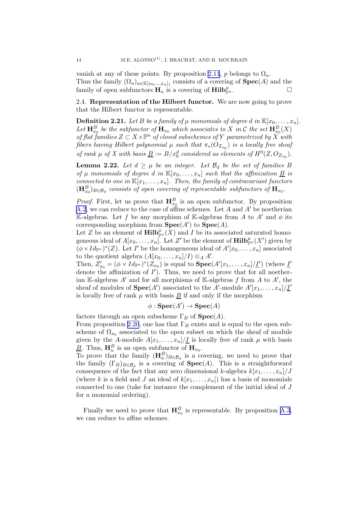<span id="page-14-0"></span>vanish at any of these points. By proposition [2.11](#page-7-0), p belongs to  $\Omega_u$ . Thus the family  $(\Omega_u)_{u \in \mathbb{K}[x_0,\ldots,x_n]_1}$  consists of a covering of  $\textbf{Spec}(A)$  and the family of open subfunctors  $\mathbf{H}_u$  is a covering of  $\mathbf{Hilb}_{\mathbb{P}^n}^{\mu}$ .

2.4. Representation of the Hilbert functor. We are now going to prove that the Hilbert functor is representable.

**Definition 2.21.** Let B be a family of  $\mu$  monomials of degree d in  $\mathbb{K}[x_0, \ldots, x_n]$ . Let  $\mathbf{H}_{x_0}^B$  be the subfunctor of  $\mathbf{H}_{x_0}$  which associates to X in C the set  $\mathbf{H}_{x_0}^B(X)$ of flat families  $Z \subset X \times \mathbb{P}^n$  of closed subschemes of Y parametrized by  $\tilde{X}$  with *fibers having Hilbert polynomial*  $\mu$  *such that*  $\pi_*(O_{Z_{x_0}})$  *is a locally free sheaf of rank*  $\mu$  *of*  $X$  *with basis*  $\underline{B} := B/x_0^d$  *considered as elements of*  $H^0(Z, O_{Z_{x_0}})$ *.* 

**Lemma 2.22.** Let  $d \geq \mu$  be an integer. Let  $\mathcal{B}_d$  be the set of families B *of*  $\mu$  *monomials of degree d in*  $\mathbb{K}[x_0, \ldots, x_n]$  *such that the affinization*  $\underline{B}$  *is connected to one in*  $\mathbb{K}[x_1, \ldots, x_n]$ *. Then, the family of contravariant functors*  $(\mathbf{H}_{x_0}^B)_{B \in \mathcal{B}_d}$  consists of open covering of representable subfunctors of  $\mathbf{H}_{x_0}$ .

*Proof.* First, let us prove that  $\mathbf{H}_{x_0}^B$  is an open subfunctor. By proposition [A.2](#page-31-0), we can reduce to the case of affine schemes. Let A and  $A'$  be noetherian K-algebras. Let f be any morphism of K-algebras from A to A' and  $\phi$  its corresponding morphism from  $\text{Spec}(A')$  to  $\text{Spec}(A)$ .

Let Z be an element of  $\mathbf{Hilb}^{\mu}_{\mathbb{P}^n}(X)$  and I be its associated saturated homogeneous ideal of  $A[x_0,\ldots,x_n]$ . Let  $Z'$  be the element of  $\textbf{Hilb}_{\mathbb{P}^n}^{\mu}(X')$  given by  $(\phi \times Id_{\mathbb{P}^n})^*(Z)$ . Let I' be the homogeneous ideal of  $A'[x_0, \ldots, x_n]$  associated to the quotient algebra  $(A[x_0, \ldots, x_n]/I) \otimes_A A'$ .

Then,  $Z'_{x_0} = (\phi \times Id_{\mathbb{P}^n})^*(Z_{x_0})$  is equal to  $\textbf{Spec}(A'[x_1, \ldots, x_n]/\underline{I'})$  (where  $\underline{I'}$ denote the affinization of  $I'$ ). Thus, we need to prove that for all noetherian K-algebras  $A'$  and for all morphisms of K-algebras f from A to  $A'$ , the sheaf of modules of  $\textbf{Spec}(A')$  associated to the A'-module  $A'[x_1, \ldots, x_n]/\underline{I'}$ is locally free of rank  $\mu$  with basis  $B$  if and only if the morphism

$$
\phi: \mathbf{Spec}(A') \to \mathbf{Spec}(A)
$$

factors through an open subscheme  $\Gamma_B$  of  $\textbf{Spec}(A)$ . From proposition [2.20](#page-12-0), one has that  $\Gamma_B$  exists and is equal to the open subscheme of  $\Omega_{x_0}$  associated to the open subset on which the sheaf of module given by the A-module  $A[x_1, \ldots, x_n]/\underline{I}$  is locally free of rank  $\mu$  with basis  $\underline{B}$ . Thus,  $\mathbf{H}_u^B$  is an open subfunctor of  $\mathbf{H}_{x_0}$ .

To prove that the family  $(\mathbf{H}_{u}^{B})_{B \in \mathcal{B}_{d}}$  is a covering, we need to prove that the family  $(\Gamma_B)_{B \in \mathcal{B}_d}$  is a covering of  $\textbf{Spec}(A)$ . This is a straightforward consequence of the fact that any zero dimensional k-algebra  $k[x_1, \ldots, x_n]/J$ (where k is a field and J an ideal of  $k[x_1, \ldots, x_n]$ ) has a basis of monomials connected to one (take for instance the complement of the initial ideal of J for a monomial ordering).

Finally we need to prove that  $\mathbf{H}_{x_0}^B$  is representable. By proposition [A.3](#page-32-0), we can reduce to affine schemes.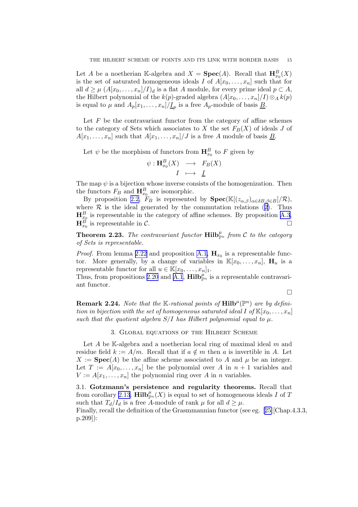<span id="page-15-0"></span>Let A be a noetherian K-algebra and  $X = \text{Spec}(A)$ . Recall that  $H_{x_0}^B(X)$ is the set of saturated homogeneous ideals I of  $A[x_0, \ldots, x_n]$  such that for all  $d \geq \mu \left(A[x_0,\ldots,x_n]/I\right)_d$  is a flat A module, for every prime ideal  $p \subset A$ , the Hilbert polynomial of the  $k(p)$ -graded algebra  $(A[x_0, \ldots, x_n]/I) \otimes_A k(p)$ is equal to  $\mu$  and  $A_p[x_1,\ldots,x_n]/\underline{I}_p$  is a free  $A_p$ -module of basis  $\underline{B}$ .

Let  $F$  be the contravariant functor from the category of affine schemes to the category of Sets which associates to X the set  $F_B(X)$  of ideals J of  $A[x_1, \ldots, x_n]$  such that  $A[x_1, \ldots, x_n]/J$  is a free A module of basis  $\underline{B}$ .

Let  $\psi$  be the morphism of functors from  $\mathbf{H}_{x_0}^B$  to F given by

$$
\psi: \mathbf{H}_{x_0}^B(X) \longrightarrow F_B(X) \\
I \longmapsto \underline{I}
$$

The map  $\psi$  is a bijection whose inverse consists of the homogenization. Then the functors  $F_B$  and  $\mathbf{H}_{x_0}^B$  are isomorphic.

By proposition [2.2,](#page-5-0)  $F_B$  is represented by  $\text{Spec}(\mathbb{K}[(z_{\alpha,\beta})_{\alpha\in\delta B,\beta\in B}]/\mathcal{R}),$ where $\mathcal R$  is the ideal generated by the commutation relations ([2\)](#page-5-0). Thus  $\mathbf{H}_{x_0}^B$  is representable in the category of affine schemes. By proposition [A.3](#page-32-0),  $\mathbf{H}_{x_0}^B$  is representable in C.

**Theorem 2.23.** The contravariant functor  $\text{Hilb}_{\mathbb{P}^n}^{\mu}$  from C to the category *of Sets is representable.*

*Proof.* From lemma [2.22](#page-14-0) and proposition [A.1,](#page-31-0)  $\mathbf{H}_{x_0}$  is a representable functor. More generally, by a change of variables in  $\mathbb{K}[x_0,\ldots,x_n], \mathbf{H}_u$  is a representable functor for all  $u \in \mathbb{K}[x_0,\ldots,x_n]_1$ .

Thus, from propositions [2.20](#page-12-0) and [A.1](#page-31-0),  $\text{Hilb}_{\mathbb{P}^n}^{\mu}$  is a representable contravariant functor.

 $\Box$ 

**Remark 2.24.** Note that the K-rational points of  $\text{Hilb}^{\mu}(\mathbb{P}^{n})$  are by defini*tion in bijection with the set of homogeneous saturated ideal* I of  $\mathbb{K}[x_0, \ldots, x_n]$ *such that the quotient algebra*  $S/I$  *has Hilbert polynomial equal to*  $\mu$ *.* 

### 3. Global equations of the Hilbert Scheme

Let A be K-algebra and a noetherian local ring of maximal ideal  $m$  and residue field  $k := A/m$ . Recall that if  $a \notin m$  then a is invertible in A. Let  $X := \textbf{Spec}(A)$  be the affine scheme associated to A and  $\mu$  be an integer. Let  $T := A[x_0, \ldots, x_n]$  be the polynomial over A in  $n + 1$  variables and  $V := A[x_1, \ldots, x_n]$  the polynomial ring over A in n variables.

3.1. Gotzmann's persistence and regularity theorems. Recall that from corollary [2.13](#page-10-0),  $\overline{\textbf{Hilb}}_{\mathbb{P}^n}^{\mu}(X)$  is equal to set of homogeneous ideals I of T such that  $T_d/I_d$  is a free A-module of rank  $\mu$  for all  $d \geq \mu$ . Finally, recall the definition of the Grasmmannian functor (see eg.[[25\]](#page-39-0)[Chap.4.3.3, p.209]):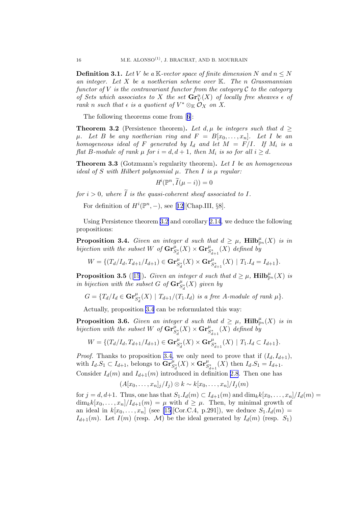<span id="page-16-0"></span>**Definition 3.1.** Let V be a K-vector space of finite dimension N and  $n \leq N$ *an integer. Let* X *be a noetherian scheme over* K*. The* n *Grassmannian functor of*  $V$  *is the contravariant functor from the category*  $\mathcal C$  *to the category of Sets which associates to* X *the set*  $\mathbf{Gr}_V^n(X)$  *of locally free sheaves*  $\epsilon$  *of rank n such that*  $\epsilon$  *is a quotient of*  $V^* \otimes_K O_X$  *on X*.

The following theorems come from[[6](#page-38-0)]:

**Theorem 3.2** (Persistence theorem). Let  $d, \mu$  be integers such that  $d >$  $\mu$ *. Let* B *be any noetherian ring and*  $F = B[x_0, \ldots, x_n]$ *. Let* I *be an homogeneous ideal of*  $F$  *generated by*  $I_d$  *and let*  $M = F/I$ *. If*  $M_i$  *is a flat* B-module of rank  $\mu$  for  $i = d, d + 1$ , then  $M_i$  is so for all  $i \geq d$ .

Theorem 3.3 (Gotzmann's regularity theorem). *Let* I *be an homogeneous ideal of*  $S$  *with Hilbert polynomial*  $\mu$ *. Then*  $I$  *is*  $\mu$  *regular:* 

$$
H^i(\mathbb{P}^n, \widetilde{I}(\mu - i)) = 0
$$

*for*  $i > 0$ *, where*  $\widetilde{I}$  *is the quasi-coherent sheaf associated to I.* 

Fordefinition of  $H^i(\mathbb{P}^n, -)$ , see [[12\]](#page-38-0)[Chap.III, §8].

Using Persistence theorem 3.2 and corollary [2.14](#page-10-0), we deduce the following propositions:

**Proposition 3.4.** *Given an integer* d *such that*  $d \geq \mu$ ,  $\textbf{Hilb}_{\mathbb{P}^n}^{\mu}(X)$  *is in*  $bijection \ with \ the \ subset \ W \ of \ \mathbf{Gr}^{\mu}_{S_d^*}(X) \times \mathbf{Gr}^{\mu}_{S_{d+1}^*}(X) \ defined \ b^{\frac{1}{2}}$ 

$$
W = \{ (T_d/I_d, T_{d+1}/I_{d+1}) \in \mathbf{Gr}_{S_d^*}^{\mu}(X) \times \mathbf{Gr}_{S_{d+1}^*}^{\mu}(X) \mid T_1.I_d = I_{d+1} \}.
$$

**Proposition 3.5** ([[15](#page-39-0)]). *Given an integer d such that*  $d \geq \mu$ ,  $\text{Hilb}_{\mathbb{P}^n}^{\mu}(X)$  *is* in bijection with the subset G of  $\mathbf{Gr}^{\mu}_{S_d^*}(X)$  given by

$$
G = \{T_d/I_d \in \mathbf{Gr}^{\mu}_{S_d^*}(X) \mid T_{d+1}/(T_1.I_d) \text{ is a free } A\text{-module of rank } \mu\}.
$$

Actually, proposition 3.4 can be reformulated this way:

**Proposition 3.6.** *Given an integer* d *such that*  $d \geq \mu$ ,  $\text{Hilb}_{\mathbb{P}^n}^{\mu}(X)$  *is in*  $bijection \ with \ the \ subset \ W \ of \ \mathbf{Gr}^{\mu}_{S_d^*}(X) \times \mathbf{Gr}^{\mu}_{S_{d+1}^*}(X) \ defined \ b^{\frac{1}{2}}$ 

$$
W = \{ (T_d/I_d, T_{d+1}/I_{d+1}) \in \mathbf{Gr}_{S_d^*}^{\mu}(X) \times \mathbf{Gr}_{S_{d+1}^*}^{\mu}(X) \mid T_1.I_d \subset I_{d+1} \}.
$$

*Proof.* Thanks to proposition 3.4, we only need to prove that if  $(I_d, I_{d+1}),$ with  $I_d.S_1 \subset I_{d+1}$ , belongs to  $\mathbf{Gr}^{\mu}_{S_d^*}(X) \times \mathbf{Gr}^{\mu}_{S_{d+1}^*}(X)$  then  $I_d.S_1 = I_{d+1}$ . Consider  $I_d(m)$  and  $I_{d+1}(m)$  introduced in definition [2.8](#page-6-0). Then one has

$$
(A[x_0,\ldots,x_n]_j/I_j)\otimes k\sim k[x_0,\ldots,x_n]/I_j(m)
$$

for  $j = d, d+1$ . Thus, one has that  $S_1.I_d(m) \subset I_{d+1}(m)$  and  $\dim_k k[x_0, \ldots, x_n]/I_d(m) =$  $\dim_k k[x_0,\ldots,x_n]/I_{d+1}(m) = \mu$  with  $d \geq \mu$ . Then, by minimal growth of an ideal in  $k[x_0, ..., x_n]$  (see [\[15](#page-39-0)][Cor.C.4, p.291]), we deduce  $S_1.I_d(m) =$  $I_{d+1}(m)$ . Let  $I(m)$  (resp. M) be the ideal generated by  $I_d(m)$  (resp.  $S_1$ )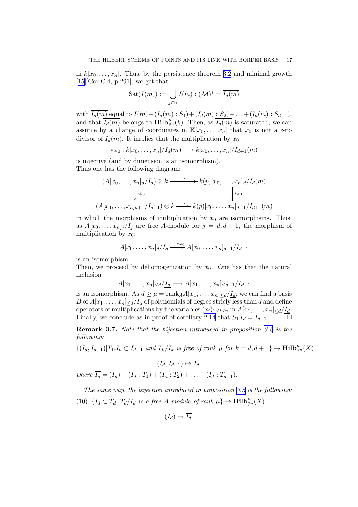<span id="page-17-0"></span>in  $k[x_0, \ldots, x_n]$ . Thus, by the persistence theorem [3.2](#page-16-0) and minimal growth  $[15]$  $[15]$ [Cor.C.4, p.291], we get that

$$
Sat(I(m)) := \bigcup_{j \in \mathbb{N}} I(m) : (\mathcal{M})^j = \overline{I_d(m)}
$$

with  $\overline{I_d(m)}$  equal to  $I(m) + (I_d(m) : S_1) + (I_d(m) : S_2) + ... + (I_d(m) : S_{d-1}),$ and that  $\overline{I_d(m)}$  belongs to  $\textbf{Hilb}_{\mathbb{P}^n}^{\mu}(k)$ . Then, as  $\overline{I_d(m)}$  is saturated, we can assume by a change of coordinates in  $\mathbb{K}[x_0, \ldots, x_n]$  that  $x_0$  is not a zero divisor of  $I_d(m)$ . It implies that the multiplication by  $x_0$ :

$$
*x_0: k[x_0,\ldots,x_n]/I_d(m) \longrightarrow k[x_0,\ldots,x_n]/I_{d+1}(m)
$$

is injective (and by dimension is an isomorphism). Thus one has the following diagram:

$$
(A[x_0, \ldots, x_n]_d/I_d) \otimes k \xrightarrow{\sim} k(p)[x_0, \ldots, x_n]_d/I_d(m)
$$
  
\n
$$
\downarrow^{*x_0} \qquad \qquad \downarrow^{*x_0}
$$
  
\n
$$
(A[x_0, \ldots, x_n]_{d+1}/I_{d+1}) \otimes k \xrightarrow{\sim} k(p)[x_0, \ldots, x_n]_{d+1}/I_{d+1}(m)
$$

in which the morphisms of multiplication by  $x_0$  are isomorphisms. Thus, as  $A[x_0, \ldots, x_n]_j/I_j$  are free A-module for  $j = d, d + 1$ , the morphism of multiplication by  $x_0$ :

$$
A[x_0, \ldots, x_n]_d/I_d \xrightarrow{*x_0} A[x_0, \ldots, x_n]_{d+1}/I_{d+1}
$$

is an isomorphism.

Then, we proceed by dehomogenization by  $x_0$ . One has that the natural inclusion

$$
A[x_1,\ldots,x_n] \leq d/\underline{I_d} \longrightarrow A[x_1,\ldots,x_n] \leq d+1/\underline{I_{d+1}}
$$

is an isomorphism. As  $d \geq \mu = \text{rank}_A A[x_1, \ldots, x_n] \leq d / I_d$ , we can find a basis B of  $A[x_1, \ldots, x_n] \le d/I_d$  of polynomials of degree stricly less than d and define operators of multiplications by the variables  $(x_i)_{1\leq i\leq n}$  in  $A[x_1,\ldots,x_n]_{\leq d}/\underline{I_d}$ . Finally, we conclude as in proof of corollary [2.14](#page-10-0) that  $S_1 I_d = I_{d+1}$ .

Remark 3.7. *Note that the bijection introduced in proposition [3.6](#page-16-0) is the following:*

 $\{(I_d, I_{d+1}) | T_1.I_d \subset I_{d+1} \text{ and } T_k/I_k \text{ is free of rank } \mu \text{ for } k=d, d+1\} \to \textbf{Hilb}_{\mathbb{P}^n}^{\mu}(X)$ 

$$
(I_d, I_{d+1}) \mapsto \overline{I_d}
$$

*where*  $\overline{I_d} = (I_d) + (I_d : T_1) + (I_d : T_2) + \ldots + (I_d : T_{d-1})$ *.* 

*The same way, the bijection introduced in proposition [3.5](#page-16-0) is the following:*  ${(10)}$   ${I_d \subset T_d | T_d/I_d \text{ is a free } A\text{-module of rank } \mu} \rightarrow \textbf{Hilb}_{\mathbb{P}^n}^{\mu}(X)$ 

$$
(I_d) \mapsto \overline{I_d}
$$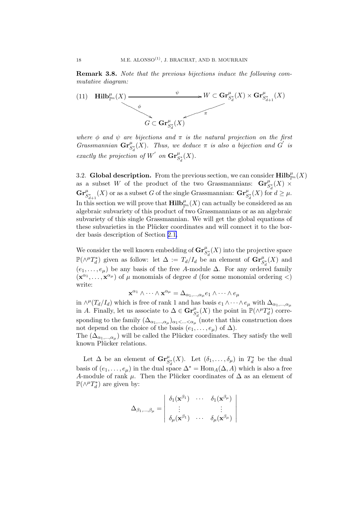<span id="page-18-0"></span>Remark 3.8. *Note that the previous bijections induce the following commutative diagram:*

(11) 
$$
\mathbf{Hilb}_{\mathbb{P}^n}^{\mu}(X) \longrightarrow W \subset \mathbf{Gr}_{S_d^*}^{\mu}(X) \times \mathbf{Gr}_{S_{d+1}^*}^{\mu}(X)
$$

*where*  $\phi$  *and*  $\psi$  *are bijections and*  $\pi$  *is the natural projection on the first Grassmannian*  $\mathbf{Gr}^{\mu}_{S_d}(X)$ *. Thus, we deduce*  $\pi$  *is also a bijection and*  $G'$  *is exactly the projection of*  $W'$  *on*  $\mathbf{Gr}^{\mu}_{S_d^*}(X)$ *.* 

3.2. Global description. From the previous section, we can consider  $\text{Hilb}_{\mathbb{P}^n}^{\mu}(X)$ as a subset W of the product of the two Grassmannians:  $\mathbf{Gr}^{\mu}_{S_d^*}(X) \times$  $\mathbf{Gr}^{\mu}_{S_{d+1}^*}(X)$  or as a subset G of the single Grassmannian:  $\mathbf{Gr}^{\mu}_{S_d^*}(X)$  for  $d \geq \mu$ . In this section we will prove that  $\mathbf{Hilb}^{\mu}_{\mathbb{P}^n}(X)$  can actually be considered as an algebraic subvariety of this product of two Grassmannians or as an algebraic subvariety of this single Grassmannian. We will get the global equations of these subvarieties in the Plücker coordinates and will connect it to the border basis description of Section [2.1.](#page-4-0)

We consider the well known embedding of  $\mathbf{Gr}^{\mu}_{S_d^*}(X)$  into the projective space  $\mathbb{P}(\wedge^{\mu}T_d^*)$  given as follow: let  $\Delta := T_d/I_d$  be an element of  $\mathbf{Gr}^{\mu}_{S_d^*}(X)$  and  $(e_1, \ldots, e_\mu)$  be any basis of the free A-module  $\Delta$ . For any ordered family  $(\mathbf{x}^{\alpha_1}, \dots, \mathbf{x}^{\alpha_\mu})$  of  $\mu$  monomials of degree d (for some monomial ordering <) write:

$$
\mathbf{x}^{\alpha_1} \wedge \cdots \wedge \mathbf{x}^{\alpha_\mu} = \Delta_{\alpha_1, \dots, \alpha_\mu} e_1 \wedge \cdots \wedge e_\mu
$$

in  $\wedge^{\mu}(T_d/I_d)$  which is free of rank 1 and has basis  $e_1 \wedge \cdots \wedge e_{\mu}$  with  $\Delta_{\alpha_1,\dots,\alpha_{\mu}}$ in A. Finally, let us associate to  $\Delta \in \mathbf{Gr}^{\mu}_{S_d^*}(X)$  the point in  $\mathbb{P}(\wedge^{\mu}T_d^*)$  corresponding to the family  $(\Delta_{\alpha_1,\dots,\alpha_\mu})_{\alpha_1<\dots<\alpha_\mu}$  (note that this construction does not depend on the choice of the basis  $(e_1, \ldots, e_\mu)$  of  $\Delta$ ).

The  $(\Delta_{\alpha_1,\ldots,\alpha_\mu})$  will be called the Plücker coordinates. They satisfy the well known Plücker relations.

Let  $\Delta$  be an element of  $\mathbf{Gr}^{\mu}_{S_d^*}(X)$ . Let  $(\delta_1,\ldots,\delta_{\mu})$  in  $T_d^*$  be the dual basis of  $(e_1, \ldots, e_u)$  in the dual space  $\Delta^* = \text{Hom}_A(\Delta, A)$  which is also a free A-module of rank  $\mu$ . Then the Plücker coordinates of  $\Delta$  as an element of  $\mathbb{P}(\wedge^{\mu}T_{d}^{*})$  are given by:

$$
\Delta_{\beta_1,\dots,\beta_\mu} = \begin{vmatrix} \delta_1(\mathbf{x}^{\beta_1}) & \cdots & \delta_1(\mathbf{x}^{\beta_\mu}) \\ \vdots & & \vdots \\ \delta_\mu(\mathbf{x}^{\beta_1}) & \cdots & \delta_\mu(\mathbf{x}^{\beta_\mu}) \end{vmatrix}
$$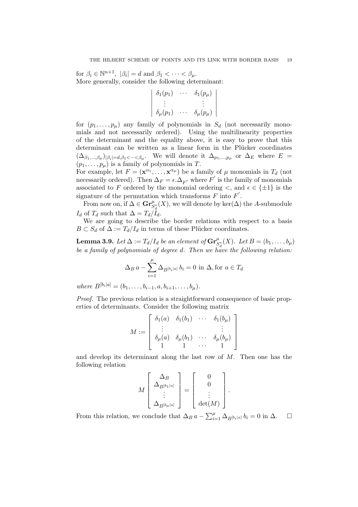<span id="page-19-0"></span>for  $\beta_i \in \mathbb{N}^{n+1}$ ,  $|\beta_i| = d$  and  $\beta_1 < \cdots < \beta_\mu$ . More generally, consider the following determinant:

| $\big  \delta_1(p_1)$   | $\delta_1(p_\mu)$   |
|-------------------------|---------------------|
|                         |                     |
| $\vert \delta_\mu(p_1)$ | $\delta_\mu(p_\mu)$ |

for  $(p_1, \ldots, p_\mu)$  any family of polynomials in  $S_d$  (not necessarily monomials and not necessarily ordered). Using the multilinearity properties of the determinant and the equality above, it is easy to prove that this determinant can be written as a linear form in the Plücker coordinates  $(\Delta_{\beta_1,...,\beta_\mu})_{|\beta_i|=d,\beta_1<\cdots<\beta_\mu}$ . We will denote it  $\Delta_{p_1,...,p_\mu}$  or  $\Delta_E$  where  $E=$  $(p_1, \ldots, p_\mu)$  is a family of polynomials in T.

For example, let  $F = (\mathbf{x}^{\alpha_1}, \dots, \mathbf{x}^{\alpha_\mu})$  be a family of  $\mu$  monomials in  $T_d$  (not necessarily ordered). Then  $\Delta_F = \epsilon \cdot \Delta_{F'}$  where  $F'$  is the family of monomials associated to F ordered by the monomial ordering  $\lt$ , and  $\epsilon \in \{\pm 1\}$  is the signature of the permutation which transforms  $F$  into  $F'$ .

From now on, if  $\Delta \in \mathbf{Gr}^{\mu}_{S_d^*}(X)$ , we will denote by  $\ker(\Delta)$  the A-submodule  $I_d$  of  $T_d$  such that  $\Delta = T_d/I_d$ .

We are going to describe the border relations with respect to a basis  $B \subset S_d$  of  $\Delta := T_d/I_d$  in terms of these Plücker coordinates.

**Lemma 3.9.** *Let*  $\Delta := T_d/I_d$  *be an element of*  $\mathbf{Gr}_{S_d^*}^{\mu}(X)$ *. Let*  $B = (b_1, \ldots, b_{\mu})$ *be a family of polynomials of degree* d*. Then we have the following relation:*

$$
\Delta_B a - \sum_{i=1}^{\mu} \Delta_{B^{[b_i]a]}} b_i = 0 \text{ in } \Delta, \text{for } a \in T_d
$$

*where*  $B^{[b_i|a]} = (b_1, \ldots, b_{i-1}, a, b_{i+1}, \ldots, b_{\mu}).$ 

*Proof.* The previous relation is a straightforward consequence of basic properties of determinants. Consider the following matrix

$$
M := \left[ \begin{array}{cccc} \delta_1(a) & \delta_1(b_1) & \cdots & \delta_1(b_\mu) \\ \vdots & & & \vdots \\ \delta_\mu(a) & \delta_\mu(b_1) & \cdots & \delta_\mu(b_\mu) \\ 1 & 1 & \cdots & 1 \end{array} \right]
$$

and develop its determinant along the last row of  $M$ . Then one has the following relation

$$
M\left[\begin{array}{c} \Delta_B \\ \Delta_{B^{[b_1|a]}} \\ \vdots \\ \Delta_{B^{[b_\mu|a]}} \end{array}\right] = \left[\begin{array}{c} 0 \\ 0 \\ \vdots \\ \det(M) \end{array}\right].
$$

From this relation, we conclude that  $\Delta_B a - \sum_{i=1}^{\mu} \Delta_{B^{[b_i]a]}} b_i = 0$  in  $\Delta$ .  $\Box$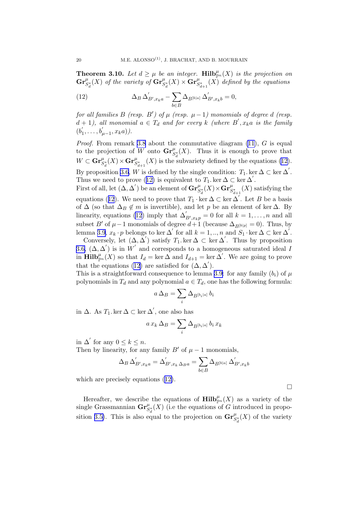<span id="page-20-0"></span>**Theorem 3.10.** Let  $d \geq \mu$  be an integer. **Hilb**<sup> $\mu_{\text{p}}(X)$  is the projection on</sup>  $\mathbf{Gr}^{\mu}_{S_d^*}(X)$  *of the variety of*  $\mathbf{Gr}^{\mu}_{S_d^*}(X) \times \mathbf{Gr}^{\mu}_{S_{d+1}^*}(X)$  *defined by the equations* 

(12) 
$$
\Delta_B \,\Delta'_{B',x_ka} - \sum_{b \in B} \Delta_{B^{[b|a]}} \,\Delta'_{B',x_kb} = 0,
$$

*for all families*  $B$  *(resp.*  $B'$ *) of*  $\mu$  *(resp.*  $\mu - 1$ *) monomials of degree d (resp.*  $d + 1$ , all monomial  $a \in T_d$  and for every k (where B',  $x_k a$  is the family  $(b_1)$  $y'_{1}, \ldots, b'_{\mu-1}, x_{k}a).$ 

*Proof.* From remark [3.8](#page-18-0) about the commutative diagram [\(11\)](#page-18-0), G is equal to the projection of W onto  $\mathbf{Gr}^{\mu}_{S_d^*}(X)$ . Thus it is enough to prove that  $W \subset \mathbf{Gr}^{\mu}_{S_d^*}(X) \times \mathbf{Gr}^{\mu}_{S_{d+1}^*}(X)$  is the subvariety defined by the equations (12). By proposition [3.6,](#page-16-0) W is defined by the single condition:  $T_1$ , ker  $\Delta \subset \text{ker } \Delta'$ . Thus we need to prove (12) is equivalent to  $T_1$  ker  $\Delta \subset \text{ker } \Delta'$ .

First of all, let  $(\Delta, \Delta')$  be an element of  $\mathrm{Gr}^{\mu}_{S_d^*}(X) \times \mathrm{Gr}^{\mu}_{S_{d+1}^*}(X)$  satisfying the equations (12). We need to prove that  $T_1 \cdot \ker \Delta \subset \ker \Delta'$ . Let B be a basis of  $\Delta$  (so that  $\Delta_B \notin m$  is invertible), and let p be an element of ker  $\Delta$ . By linearity, equations (12) imply that  $\Delta'_{B',x_kp} = 0$  for all  $k = 1, \ldots, n$  and all subset B' of  $\mu - 1$  monomials of degree  $d+1$  (because  $\Delta_{B[b|p]} = 0$ ). Thus, by lemma [3.9](#page-19-0),  $x_k \cdot p$  belongs to ker  $\Delta'$  for all  $k = 1, ..., n$  and  $S_1 \cdot \ker \Delta \subset \ker \Delta'$ .

Conversely, let  $(\Delta, \tilde{\Delta}')$  satisfy  $T_1$  ker  $\Delta \subset \ker \Delta'$ . Thus by proposition [3.6,](#page-16-0)  $(\Delta, \Delta')$  is in W' and corresponds to a homogeneous saturated ideal I in  $\text{Hilb}_{\mathbb{P}^n}^{\mu}(X)$  so that  $I_d = \text{ker }\Delta$  and  $I_{d+1} = \text{ker }\Delta'$ . We are going to prove that the equations (12) are satisfied for  $(\Delta, \Delta')$ .

This is a straightforward consequence to lemma [3.9:](#page-19-0) for any family  $(b_i)$  of  $\mu$ polynomials in  $T_d$  and any polynomial  $a \in T_d$ , one has the following formula:

$$
a\,\Delta_B=\sum_i\Delta_{B^{[b_i|a]}}\,b_i
$$

in Δ. As  $T_1$ . ker  $\Delta \subset \text{ker } \Delta'$ , one also has

$$
a\,x_k\,\Delta_B=\sum_i\Delta_{B^{[b_i]a]}}\,b_i\,x_k
$$

in  $\Delta'$  for any  $0 \leq k \leq n$ .

Then by linearity, for any family  $B'$  of  $\mu - 1$  monomials,

$$
\Delta_B \,\Delta_{B',x_ka}' = \Delta_{B',x_k\,\Delta_B a}' = \sum_{b\in B} \Delta_{B^{[b|a]}}\,\Delta_{B',x_kb}'
$$

which are precisely equations (12).

Hereafter, we describe the equations of  $\text{Hilb}_{\mathbb{P}^n}^{\mu}(X)$  as a variety of the single Grassmannian  $\mathbf{Gr}^{\mu}_{S_d^*}(X)$  (i.e the equations of G introduced in propo-sition [3.5\)](#page-16-0). This is also equal to the projection on  $\mathbf{Gr}^{\mu}_{S_d^*}(X)$  of the variety

 $\Box$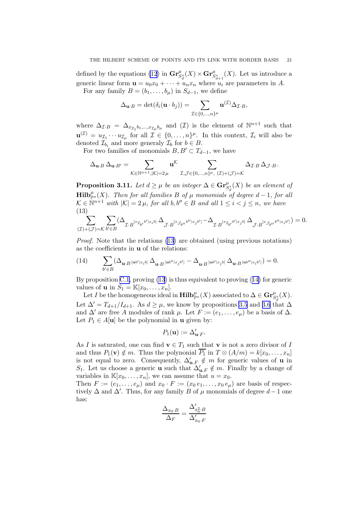<span id="page-21-0"></span>defined by the equations [\(12](#page-20-0)) in  $\mathbf{Gr}^{\mu}_{S_d^*}(X) \times \mathbf{Gr}^{\mu}_{S_{d+1}^*}(X)$ . Let us introduce a generic linear form  $\mathbf{u} = u_0 x_0 + \cdots + u_n x_n$  where  $u_i$  are parameters in A.

For any family  $B = (b_1, \ldots, b_u)$  in  $S_{d-1}$ , we define

$$
\Delta_{\mathbf{u}\cdot B} = \det(\delta_i(\mathbf{u}\cdot b_j)) = \sum_{\mathcal{I}\in\{0,\dots,n\}^{\mu}} \mathbf{u}^{(\mathcal{I})} \Delta_{\mathcal{I}\cdot B},
$$

where  $\Delta_{\mathcal{I}:B} = \Delta_{x_{\mathcal{I}_1}b_1,\dots,x_{\mathcal{I}_{\mu}}b_{\mu}}$  and  $(\mathcal{I})$  is the element of  $\mathbb{N}^{n+1}$  such that  $\mathbf{u}^{(\mathcal{I})} = u_{\mathcal{I}_1} \cdots u_{\mathcal{I}_{\mu}}$  for all  $\mathcal{I} \in \{0, \ldots, n\}^{\mu}$ . In this context,  $\mathcal{I}_i$  will also be denoted  $\mathcal{I}_{b_i}$  and more generaly  $\mathcal{I}_b$  for  $b \in B$ .

For two families of monomials  $B, B' \subset T_{d-1}$ , we have

$$
\Delta_{\mathbf{u}\cdot B}\,\Delta_{\mathbf{u}\cdot B'}=\sum_{\mathcal{K}\in\mathbb{N}^{n+1},|\mathcal{K}|=2\,\mu}\mathbf{u}^\mathcal{K}\sum_{\mathcal{I},\mathcal{J}\in\{0,\dots,n\}^\mu,\ (\mathcal{I})+(\mathcal{J})=\mathcal{K}}\Delta_{\mathcal{I}\cdot B}\,\Delta_{\mathcal{J}\cdot B}.
$$

**Proposition 3.11.** Let  $d \geq \mu$  be an integer  $\Delta \in \mathbf{Gr}^{\mu}_{S_d^*}(X)$  be an element of  $\mathbf{Hilb}_{\mathbb{P}^n}^{\mu}(X)$ *. Then for all families* B of  $\mu$  monomials of degree  $d-1$ *, for all*  $\mathcal{K} \in \mathbb{N}^{n+1}$  with  $|\mathcal{K}| = 2 \mu$ , for all  $b, b'' \in B$  and all  $1 \leq i < j \leq n$ , we have (13)

$$
\sum_{(\mathcal{I})+(\mathcal{J})=\mathcal{K}}\sum_{b'\in B}(\Delta_{\mathcal{I}\cdot B} {}^{[x_{\mathcal{I}_{b'}}b']x_ib]}\Delta_{\mathcal{J}\cdot B} {}^{[x_{\mathcal{J}_{b''}}b'']x_jb']}-\Delta_{\mathcal{I}\cdot B} {}^{[x_{\mathcal{I}_{b'}}b']x_jb]}\,\Delta_{\mathcal{J}\cdot B} {}^{[x_{\mathcal{J}_{b''}}b'']x_ib']})=0.
$$

*Proof.* Note that the relations (13) are obtained (using previous notations) as the coefficients in u of the relations:

$$
(14) \qquad \sum_{b'\in B}(\Delta_{\mathbf{u}\cdot B} \ln^{\prime}|x_ib]}\,\Delta_{\mathbf{u}\cdot B} \ln^{\prime\prime}|x_jb'] - \Delta_{\mathbf{u}\cdot B} \ln^{\prime\prime}|x_jb]}\,\Delta_{\mathbf{u}\cdot B} \ln^{\prime\prime}|x_ib']\big)=0.
$$

By proposition [C.1](#page-35-0), proving (13) is thus equivalent to proving (14) for generic values of **u** in  $S_1 = \mathbb{K}[x_0, \dots, x_n].$ 

Let I be the homogeneous ideal in  $\mathbf{Hilb}_{\mathbb{P}^n}^{\mu}(X)$  associated to  $\Delta \in \mathbf{Gr}^{\mu}_{S_d^*}(X)$ . Let  $\Delta' = T_{d+1}/I_{d+1}$ . As  $d \geq \mu$ , we know by propositions [3.5](#page-16-0) and [3.6](#page-16-0) that  $\Delta$ and  $\Delta'$  are free A modules of rank  $\mu$ . Let  $F := (e_1, \ldots, e_{\mu})$  be a basis of  $\Delta$ . Let  $P_1 \in A[\mathbf{u}]$  be the polynomial in **u** given by:

$$
P_1(\mathbf{u}) := \Delta'_{\mathbf{u} \cdot F}.
$$

As I is saturated, one can find  $\mathbf{v} \in T_1$  such that  $\mathbf{v}$  is not a zero divisor of I and thus  $P_1(\mathbf{v}) \notin m$ . Thus the polynonial  $\overline{P_1}$  in  $T \otimes (A/m) = k[x_0, \ldots, x_n]$ is not equal to zero. Consequently,  $\Delta'_{\mathbf{u},F} \notin m$  for generic values of **u** in S<sub>1</sub>. Let us choose a generic **u** such that  $\Delta'_{\mathbf{u},F} \notin m$ . Finally by a change of variables in  $\mathbb{K}[x_0,\ldots,x_n]$ , we can assume that  $u=x_0$ .

Then  $F := (e_1, \ldots, e_\mu)$  and  $x_0 \cdot F := (x_0 \, e_1, \ldots, x_0 \, e_\mu)$  are basis of respectively  $\Delta$  and  $\Delta'$ . Thus, for any family B of  $\mu$  monomials of degree  $d-1$  one has:

$$
\frac{\Delta_{x_0 \cdot B}}{\Delta_F} = \frac{\Delta'_{x_0^2 \cdot B}}{\Delta'_{x_0 \cdot F}}
$$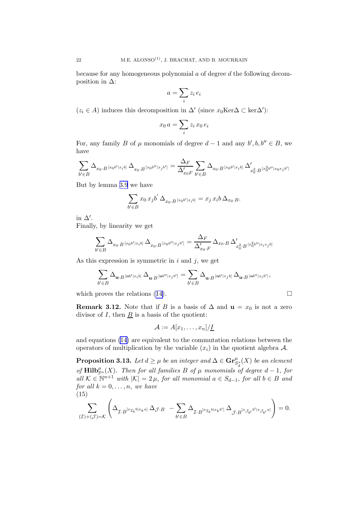<span id="page-22-0"></span>because for any homogeneous polynomial a of degree d the following decomposition in  $\Delta$ :

$$
a = \sum_{i} z_i e_i
$$

( $z_i \in A$ ) induces this decomposition in  $\Delta'$  (since  $x_0$ Ker $\Delta \subset \text{ker }\Delta'$ ):

$$
x_0\,a = \sum_i z_i\,x_0\,e_i
$$

For, any family B of  $\mu$  monomials of degree  $d-1$  and any  $b', b, b'' \in B$ , we have

$$
\sum_{b'\in B} \Delta_{x_0\cdot B^{\,[x_0b']x_ib]}}\,\Delta_{x_0\cdot B^{\,[x_0b'']x_jb']}}=\frac{\Delta_F}{\Delta_{x_0F}'}\sum_{b'\in B} \Delta_{x_0\cdot B^{\,[x_0b']x_ib]}}\,\Delta_{x_0^2\cdot B^{\,[x_0^2b'']x_0x_jb']}}'
$$

But by lemma [3.9](#page-19-0) we have

$$
\sum_{b' \in B} x_0 x_j b' \Delta_{x_0 \cdot B} [x_0 b' | x_i b] = x_j x_i b \Delta_{x_0 \cdot B}.
$$

in  $\Delta'$ .

Finally, by linearity we get

$$
\sum_{b'\in B} \Delta_{x_0 \cdot B^{[x_0 b'[x_ib]]}} \Delta_{x_0 \cdot B^{[x_0 b''[x_j b']}} = \frac{\Delta_F}{\Delta_{x_0 \cdot F}'} \Delta_{x_0 \cdot B} \Delta_{x_0^2 \cdot B^{[x_0^2 b''[x_ix_j b]]}}
$$

As this expression is symmetric in  $i$  and  $j$ , we get

$$
\sum_{b'\in B}\Delta_{\mathbf{u}\cdot B}[\mathbf{u}^{b'}|x_ib] \ \Delta_{\mathbf{u}\cdot B}[\mathbf{u}^{b''}|x_jb'] = \sum_{b'\in B}\Delta_{\mathbf{u}\cdot B}[\mathbf{u}^{b'}|x_jb] \ \Delta_{\mathbf{u}\cdot B}[\mathbf{u}^{b''}|x_ib']\,,
$$

whichproves the relations ([14\)](#page-21-0).  $\Box$ 

**Remark 3.12.** Note that if B is a basis of  $\Delta$  and  $\mathbf{u} = x_0$  is not a zero divisor of  $I$ , then  $\underline{B}$  is a basis of the quotient:

$$
\mathcal{A} := A[x_1,\ldots,x_n]/\underline{I}
$$

and equations [\(14\)](#page-21-0) are equivalent to the commutation relations between the operators of multiplication by the variable  $(x_i)$  in the quotient algebra A.

**Proposition 3.13.** Let  $d \geq \mu$  be an integer and  $\Delta \in \mathbf{Gr}^{\mu}_{S^*_{\sigma}}(X)$  be an element of  $\text{Hilb}_{\mathbb{P}^n}^{\mu}(X)$ . Then for all families B of  $\mu$  monomials of degree  $d-1$ , for  $all \ K \in \mathbb{N}^{n+1}$  *with*  $|K| = 2 \mu$ *, for all monomial*  $a \in S_{d-1}$ *, for all*  $b \in B$  *and for all*  $k = 0, \ldots, n$ *, we have* (15)

$$
\sum_{(\mathcal{I})+(\mathcal{J})=\mathcal{K}} \left( \Delta_{\mathcal{I} \cdot B^{[x_{\mathcal{I}_b b|x_ka]}}}\,\Delta_{\mathcal{J} \cdot B} \right. \nonumber \\ \left. - \sum_{b' \in B} \Delta_{\mathcal{I} \cdot B^{[x_{\mathcal{I}_b b|x_kb']}}}\,\Delta_{\mathcal{J} \cdot B^{[x_{\mathcal{J}_{b'}} b'|x_{\mathcal{J}_{b'}} a]}} \right) = 0.
$$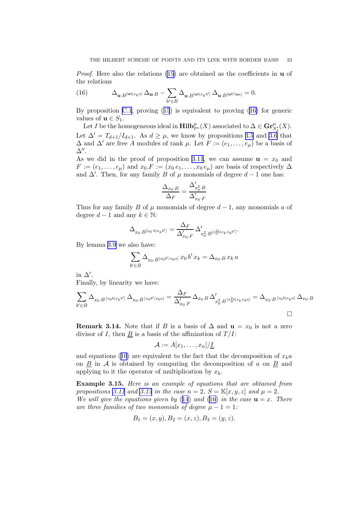<span id="page-23-0"></span>*Proof.* Here also the relations [\(15\)](#page-22-0) are obtained as the coefficients in **u** of the relations

(16) 
$$
\Delta_{\mathbf{u}\cdot B^{[\mathbf{u}b]x_k a]}} \Delta_{\mathbf{u}\cdot B} - \sum_{b'\in B} \Delta_{\mathbf{u}\cdot B^{[\mathbf{u}b]x_k b']}} \Delta_{\mathbf{u}\cdot B^{[\mathbf{u}b']\mathbf{u}a]}} = 0.
$$

By proposition [C.1](#page-35-0), proving([15](#page-22-0)) is equivalent to proving (16) for generic values of  $\mathbf{u} \in S_1$ .

Let I be the homogeneous ideal in  $\mathbf{Hilb}_{\mathbb{P}^n}^{\mu}(X)$  associated to  $\Delta \in \mathbf{Gr}^{\mu}_{S_d^*}(X)$ . Let  $\Delta' = T_{d+1}/I_{d+1}$ . As  $d \geq \mu$ , we know by propositions [3.5](#page-16-0) and [3.6](#page-16-0) that  $\Delta$  and  $\Delta'$  are free A modules of rank  $\mu$ . Let  $F := (e_1, \ldots, e_{\mu})$  be a basis of  $\Delta''$ .

As we did in the proof of proposition [3.11](#page-21-0), we can assume  $\mathbf{u} = x_0$  and  $F := (e_1, \ldots, e_\mu)$  and  $x_0.F := (x_0 e_1, \ldots, x_0 e_\mu)$  are basis of respectively  $\Delta$ and  $\Delta'$ . Then, for any family B of  $\mu$  monomials of degree  $d-1$  one has:

$$
\frac{\Delta_{x_0 \cdot B}}{\Delta_F} = \frac{\Delta'_{x_0^2 \cdot B}}{\Delta'_{x_0 \cdot F}}
$$

Thus for any family B of  $\mu$  monomials of degree  $d-1$ , any monomials a of degree  $d-1$  and any  $k \in \mathbb{N}$ :

$$
\Delta_{x_0 \cdot B^{[x_0 \cdot b] x_k b']}} = \frac{\Delta_F}{\Delta_{x_0 \cdot F}'} \, \Delta_{x_0^2 \cdot B^{[x_0^2 b] x_k x_0 b']}}'.
$$

By lemma [3.9](#page-19-0) we also have:

$$
\sum_{b' \in B} \Delta_{x_0 \cdot B^{[x_0 b' | x_0 a]}} x_0 b' x_k = \Delta_{x_0 \cdot B} x_k a
$$

in  $\Delta'$ .

Finally, by linearity we have:

$$
\sum_{b' \in B} \Delta_{x_0 \cdot B^{[x_0 b | x_k b']}} \Delta_{x_0 \cdot B^{[x_0 b' | x_0 a]}} = \frac{\Delta_F}{\Delta_{x_0 \cdot F}'} \Delta_{x_0 B} \Delta_{x_0^2 \cdot B^{[x_0^2 b | x_k x_0 a]}}' = \Delta_{x_0 \cdot B^{[x_0 b | x_k a]}} \Delta_{x_0 \cdot B}
$$

**Remark 3.14.** Note that if B is a basis of  $\Delta$  and  $\mathbf{u} = x_0$  is not a zero divisor of I, then  $\underline{B}$  is a basis of the affinization of  $T/I$ :

$$
\mathcal{A}:=A[x_1,\ldots,x_n]/\underline{I}
$$

and equations (16) are equivalent to the fact that the decomposition of  $x_k a$ on  $\underline{B}$  in  $A$  is obtained by computing the decomposition of a on  $\underline{B}$  and applying to it the operator of multiplication by  $x_k$ .

Example 3.15. *Here is an example of equations that are obtained from propositions* [3.11](#page-21-0) and [3.13](#page-22-0) in the case  $n = 2$ ,  $S = \mathbb{K}[x, y, z]$  and  $\mu = 2$ . *We will give the equations given by* ([14](#page-21-0)) *and* (16) *in the case*  $\mathbf{u} = x$ *. There are three families of two monomials of degree*  $\mu - 1 = 1$ :

$$
B_1 = (x, y), B_2 = (x, z), B_3 = (y, z).
$$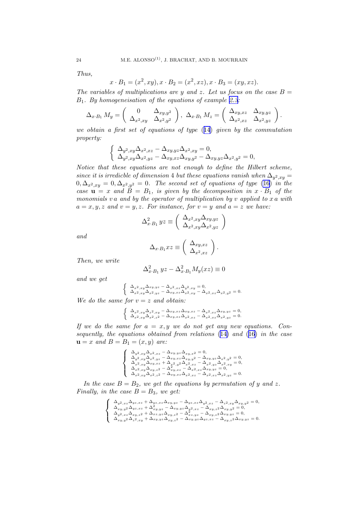*Thus,*

$$
x \cdot B_1 = (x^2, xy), x \cdot B_2 = (x^2, xz), x \cdot B_3 = (xy, xz).
$$

*The variables of multiplications are y and z. Let us focus on the case*  $B =$ B1*. By homogeneisation of the equations of example [2.3](#page-5-0):*

$$
\Delta_{x \cdot B_1} M_y = \begin{pmatrix} 0 & \Delta_{xy,y^2} \\ \Delta_{x^2,xy} & \Delta_{x^2,y^2} \end{pmatrix}, \ \Delta_{x \cdot B_1} M_z = \begin{pmatrix} \Delta_{xy,xz} & \Delta_{xy,yz} \\ \Delta_{x^2,xz} & \Delta_{x^2,yz} \end{pmatrix}.
$$

*we obtain a first set of equations of type* ([14](#page-21-0)) *given by the commutation property:*

$$
\begin{cases} \Delta_{y^2,xy}\Delta_{x^2,xz}-\Delta_{xy,yz}\Delta_{x^2,xy}=0,\\ \Delta_{y^2,xy}\Delta_{x^2,yz}-\Delta_{xy,xz}\Delta_{xy,y^2}-\Delta_{xy,yz}\Delta_{x^2,y^2}=0, \end{cases}
$$

*Notice that these equations are not enough to define the Hilbert scheme, since it is irredicble of dimension* 4 *but these equations vanish when*  $\Delta_{y^2,xy} =$  $0, \Delta_{x^2, xy} = 0, \Delta_{x^2, y^2} = 0$ . The second set of equations of type [\(16](#page-23-0)) *in the case*  $u = x$  *and*  $B = B_1$ *, is given by the decomposition in*  $x \cdot B_1$  *of the monomials* v a *and by the operator of multiplication by* v *applied to* x a *with*  $a = x, y, z$  and  $v = y, z$ . For instance, for  $v = y$  and  $a = z$  we have:

$$
\Delta_{x \cdot B_1}^2 yz \equiv \left(\begin{array}{c} \Delta_{x^2,xy} \Delta_{xy,yz} \\ \Delta_{x^2,xy} \Delta_{x^2,yz} \end{array}\right)
$$

*and*

$$
\Delta_{x \cdot B_1} x z \equiv \left( \begin{array}{c} \Delta_{xy,xz} \\ \Delta_{x^2,xz} \end{array} \right).
$$

*Then, we write*

$$
\Delta_{x \cdot B_1}^2 yz - \Delta_{x \cdot B_1}^2 M_y(xz) \equiv 0
$$

*and we get*

$$
\label{eq:2.1} \left\{ \begin{array}{l} \Delta_{x^2,xy}\Delta_{xy,yz}-\Delta_{x^2,xz}\Delta_{y^2,xy}=0,\\ \Delta_{x^2,xy}\Delta_{x^2,yz}-\Delta_{xy,xz}\Delta_{x^2,xy}-\Delta_{x^2,xz}y-\Delta_{x^2}z\Delta_{x^2,y^2}=0. \end{array} \right.
$$

*We do the same for*  $v = z$  *and obtain:* 

$$
\label{eq:2} \left\{ \begin{array}{l} \Delta_{x^2,xy}\Delta_{z^2,xy}-\Delta_{xy,xz}\Delta_{xy,xz}-\Delta_{x^2,xz}\Delta_{xy,yz}=0,\\ \Delta_{x^2,xy}\Delta_{x^2,z^2}-\Delta_{xy,xz}\Delta_{x^2,xz}-\Delta_{x^2,xz}\Delta_{x^2,yz}=0. \end{array} \right.
$$

*If we do the same for* a = x, y *we do not get any new equations. Consequently, the equations obtained from relations* ([14\)](#page-21-0) *and* ([16\)](#page-23-0) *in the case* *and* $B = B_1 = (x, y)$ *are:* 

$$
\label{eq:22} \left\{\begin{array}{l} \Delta_{y^2,xy}\Delta_{x^2,xz}-\Delta_{xy,yz}\Delta_{xy,x^2}=0,\\ \Delta_{y^2,xy}\Delta_{x^2,yz}-\Delta_{xy,xz}\Delta_{xy,y^2}-\Delta_{xy,yz}\Delta_{x^2,y^2}=0,\\ \Delta_{x^2,xy}\Delta_{xy,xz}+\Delta_{x^2,y^2}\Delta_{x^2,xz}-\Delta_{x^2,yz}\Delta_{x^2,xy}=0,\\ \Delta_{x^2,xy}\Delta_{xy,z^2}-\Delta_{xy,xz}-\Delta_{x^2,xz}\Delta_{xy,yz}=0,\\ \Delta_{x^2,xy}\Delta_{x^2,z^2}-\Delta_{xy,xz}\Delta_{x^2,xz}-\Delta_{x^2,xz}\Delta_{x^2,yz}=0. \end{array}\right.
$$

*In the case*  $B = B_2$ *, we get the equations by permutation of y and z. Finally, in the case*  $B = B_3$ *, we get:* 

$$
\label{eq:21} \left\{ \begin{array}{l} \Delta_{y^2,xz}\Delta_{yz,xz}+\Delta_{yz,xz}\Delta_{xy,yz}-\Delta_{yz,xz}\Delta_{y^2,xz}-\Delta_{z^2,xy}\Delta_{xy,y^2}=0,\\ \Delta_{xy,y^2}\Delta_{yz,xz}+\Delta_{xy,yz}^2-\Delta_{xy,yz}\Delta_{y^2,xz}-\Delta_{xy,z^2}\Delta_{xy,y^2}=0,\\ \Delta_{y^2,xz}\Delta_{xy,z^2}+\Delta_{xz,yz}\Delta_{xy,z^2}-\Delta_{xz,yz}^2-\Delta_{xy,z^2}\Delta_{xy,yz}=0,\\ \Delta_{xy,y^2}\Delta_{z^2,xy}+\Delta_{xy,yz}\Delta_{xy,z^2}-\Delta_{xy,yz}\Delta_{yz,xz}-\Delta_{xy,z^2}\Delta_{xy,yz}=0. \end{array} \right.
$$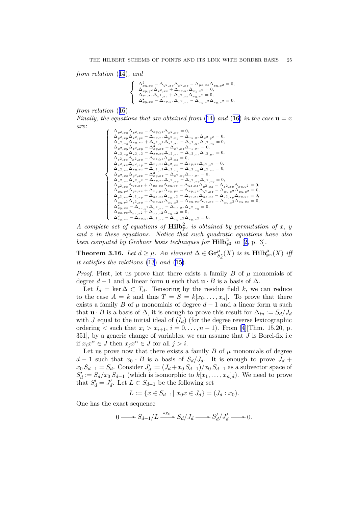<span id="page-25-0"></span>*from relation* ([14](#page-21-0))*, and*

$$
\label{eq:21} \left\{\begin{array}{l} \Delta^2_{xy, xz}-\Delta_{y^2, xz}\Delta_{x^2, xz}-\Delta_{yz, xz}\Delta_{xy, x^2}=0,\\ \Delta_{xy, y^2}\Delta_{x^2, xz}+\Delta_{xy, yz}\Delta_{xy, x^2}=0,\\ \Delta_{yz, xz}\Delta_{x^2, xz}+\Delta_{z^2, xz}\Delta_{xy, x^2}=0,\\ \Delta^2_{xy, xz}-\Delta_{xy, yz}\Delta_{x^2, xz}-\Delta_{xy, z^2}\Delta_{xy, x^2}=0. \end{array}\right.
$$

*from relation* ([16](#page-23-0))*.*

*Finally, the equations that are obtained from* ([14\)](#page-21-0) and ([16\)](#page-23-0) *in the case*  $\mathbf{u} = x$ *are:*

$$
\left\{\begin{array}{l} \Delta_{y^2,xy}\Delta_{x^2,x^2}-\Delta_{xy,yz}\Delta_{x^2,xy}=0,\\ \Delta_{y^2,xy}\Delta_{x^2,y^2}-\Delta_{xy,xz}\Delta_{y^2,xy}-\Delta_{xy,yz}\Delta_{x^2,y^2}=0,\\ \Delta_{x^2,xy}\Delta_{xy,x^2}+\Delta_{\frac{x^2}{2},y^2}\Delta_{x^2,x^2}-\Delta_{x^2,yz}\Delta_{x^2,x^2}=0,\\ \Delta_{x^2,xy}\Delta_{z^2,x^2}-\Delta_{xy,xz}-\Delta_{x^2,xz}\Delta_{xy,yz}=0,\\ \Delta_{x^2,xy}\Delta_{x^2,z^2}-\Delta_{xy,xz}\Delta_{x^2,x^2}=0,\\ \Delta_{x^2,x^2}\Delta_{x^2,x^2}-\Delta_{x^2,yz}\Delta_{x^2,x^2}=0,\\ \Delta_{x^2,x^2}\Delta_{x^2,x^2}-\Delta_{x^2,yz}\Delta_{x^2,x^2}=0,\\ \Delta_{x^2,x^2}\Delta_{x^2,y}-\Delta_{x^2,yz}\Delta_{x^2,x^2}-\Delta_{x^2,x^2}\Delta_{x^2,x^2}=0,\\ \Delta_{x^2,x^2}\Delta_{x^2,x^2}-\Delta_{x^2,y^2}\Delta_{x^2,x^2}-\Delta_{x^2,y^2}\Delta_{x^2,x^2}=0,\\ \Delta_{x^2,x^2}\Delta_{y^2,x^2}-\Delta_{xy,x^2}\Delta_{x^2,x^2}-\Delta_{x^2,x^2}\Delta_{x^2,x^2}=0,\\ \Delta_{x^2,x^2}\Delta_{y^2,x^2}-\Delta_{xy,x^2}\Delta_{x^2,y^2}-\Delta_{x^2,x^2}\Delta_{x^2,y^2}=0,\\ \Delta_{y^2,x^2}\Delta_{y^2,x^2}+\Delta_{y^2,x^2}\Delta_{xy,y^2}-\Delta_{y^2,x^2}\Delta_{y^2,x^2}-\Delta_{x^2,x^2}\Delta_{y^2,x^2}-\Delta_{x^2,x^2}\Delta_{x^2,y^2}=0,\\ \Delta_{y^2,x^2}\Delta_{y^2,x^2}+\Delta_{y^2,x^2}\Delta_{x^2,y^2}-\Delta_{x^2,y^2}\Delta_{x^2,x^2}-\Delta_{x^2,y^2}\Delta_{x^2,x^2}\Delta_{x^2,y^2}=0,\\ \Delta_{x^2,y^2}\Delta_{x^2,x^2}+\Delta_{y^
$$

*A complete set of equations of*  $\textbf{Hilb}_{\mathbb{P}^2}^2$  *is obtained by permutation of* x, y *and* z *in these equations. Notice that such quadratic equations have also been computed by Gröbner basis techniques for*  $\textbf{Hilb}_{\mathbb{P}^2}^2$  $\textbf{Hilb}_{\mathbb{P}^2}^2$  $\textbf{Hilb}_{\mathbb{P}^2}^2$  *in* [2, p. 3].

**Theorem 3.16.** *Let*  $d \geq \mu$ *. An element*  $\Delta \in \mathbf{Gr}^{\mu}_{S_d^*}(X)$  *is in*  $\mathbf{Hilb}_{\mathbb{P}^n}^{\mu}(X)$  *iff it satisfies the relations* [\(13](#page-21-0)) *and* ([15\)](#page-22-0)*.*

*Proof.* First, let us prove that there exists a family B of  $\mu$  monomials of degree  $d-1$  and a linear form **u** such that  $\mathbf{u} \cdot B$  is a basis of  $\Delta$ .

Let  $I_d = \ker \Delta \subset T_d$ . Tensoring by the residue field k, we can reduce to the case  $A = k$  and thus  $T = S = k[x_0, \ldots, x_n]$ . To prove that there exists a family B of  $\mu$  monomials of degree  $d-1$  and a linear form **u** such that  $\mathbf{u} \cdot B$  is a basis of  $\Delta$ , it is enough to prove this result for  $\Delta_{in} := S_d/J_d$ with J equal to the initial ideal of  $(I_d)$  (for the degree reverse lexicographic ordering< such that  $x_i > x_{i+1}$ ,  $i = 0, ..., n-1$ ). From [[4](#page-38-0)][Thm. 15.20, p. 351], by a generic change of variables, we can assume that  $J$  is Borel-fix i.e if  $x_i x^{\alpha} \in J$  then  $x_j x^{\alpha} \in J$  for all  $j > i$ .

Let us prove now that there exists a family  $B$  of  $\mu$  monomials of degree  $d-1$  such that  $x_0 \cdot B$  is a basis of  $S_d/J_d$ . It is enough to prove  $J_d$  +  $x_0 S_{d-1} = S_d$ . Consider  $J'_d := (J_d + x_0 S_{d-1})/x_0 S_{d-1}$  as a subvector space of  $S'_d := S_d/x_0 S_{d-1}$  (which is isomorphic to  $k[x_1,\ldots,x_n]_d$ ). We need to prove that  $S'_d = J'_d$ . Let  $L \subset S_{d-1}$  be the following set

$$
L := \{ x \in S_{d-1} | x_0 x \in J_d \} = (J_d : x_0).
$$

One has the exact sequence

$$
0 \longrightarrow S_{d-1}/L \xrightarrow{\ast x_0} S_d/J_d \longrightarrow S'_d/J'_d \longrightarrow 0.
$$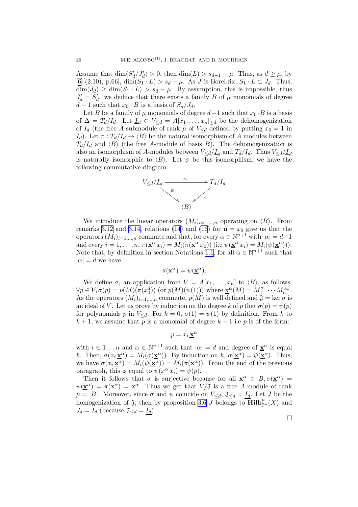Assume that  $\dim(S'_d/J'_d) > 0$ , then  $\dim(L) > s_{d-1} - \mu$ . Thus, as  $d \ge \mu$ , by  $[6]$  $[6]$  $[6]$ [(2.10), p.66], dim( $S_1 \cdot L$ ) >  $s_d - \mu$ . As J is Borel-fix,  $S_1 \cdot L \subset J_d$ . Thus,  $\dim(J_d) \geq \dim(S_1 \cdot L) > s_d - \mu$ . By assumption, this is impossible, thus  $J'_d = S'_d$ , we deduce that there exists a family B of  $\mu$  monomials of degree  $d-1$  such that  $x_0 \cdot B$  is a basis of  $S_d/J_d$ .

Let B be a family of  $\mu$  monomials of degree  $d-1$  such that  $x_0 \cdot B$  is a basis of  $\Delta = T_d/I_d$ . Let  $\underline{I}_d \subset V_{\leq d} = A[x_1,\ldots,x_n]_{\leq d}$  be the dehomogenization of  $I_d$  (the free A submodule of rank  $\mu$  of  $V_{\leq d}$  defined by putting  $x_0 = 1$  in  $I_d$ ). Let  $\pi: T_d/I_d \to \langle B \rangle$  be the natural isomorphism of A modules between  $T_d/I_d$  and  $\langle B \rangle$  (the free A-module of basis B). The dehomogenization is also an isomorphism of A-modules between  $V_{\le d}/\underline{I}_d$  and  $T_d/I_d$ . Thus  $V_{\le d}/\underline{I}_d$ is naturally isomorphic to  $\langle B \rangle$ . Let  $\psi$  be this isomorphism, we have the following commutative diagram:



We introduce the linear operators  $(M_i)_{i=1,\dots,n}$  operating on  $\langle B \rangle$ . From remarks [3.12](#page-22-0) and [3.14](#page-23-0), relations [\(14](#page-21-0)) and [\(16](#page-23-0)) for  $\mathbf{u} = x_0$  give us that the operators  $(M_i)_{i=1,\dots,n}$  commute and that, for every  $\alpha \in \mathbb{N}^{n+1}$  with  $|\alpha|=d-1$ and every  $i = 1, ..., n$ ,  $\pi(\mathbf{x}^{\alpha} x_i) = M_i(\pi(\mathbf{x}^{\alpha} x_0))$  (i.e  $\psi(\mathbf{x}^{\alpha} x_i) = M_i(\psi(\mathbf{x}^{\alpha})))$ . Note that, by definition in section Notations [1.1,](#page-3-0) for all  $\alpha \in \mathbb{N}^{n+1}$  such that  $|\alpha| = d$  we have

$$
\pi(\mathbf{x}^{\alpha}) = \psi(\underline{\mathbf{x}}^{\alpha}).
$$

We define  $\sigma$ , an application from  $V = A[x_1, \ldots, x_n]$  to  $\langle B \rangle$ , as follows:  $\forall p \in V, \sigma(p) = p(M)(\pi(x_0^d))$  (or  $p(M)(\psi(1)))$ ) where  $\underline{\mathbf{x}}^{\alpha}(M) = M_1^{\alpha_1} \cdots M_n^{\alpha_n}$ . As the operators  $(M_i)_{i=1,\dots,n}$  commute,  $p(M)$  is well defined and  $\mathfrak{J} = \ker \sigma$  is an ideal of V. Let us prove by induction on the degree k of p that  $\sigma(p) = \psi(p)$ for polynomials p in  $V_{\le d}$ . For  $k = 0$ ,  $\sigma(1) = \psi(1)$  by definition. From k to  $k + 1$ , we assume that p is a monomial of degree  $k + 1$  i.e p is of the form:

$$
p = x_i \mathbf{\underline{x}}^{\alpha}
$$

with  $i \in 1...n$  and  $\alpha \in \mathbb{N}^{n+1}$  such that  $|\alpha| = d$  and degree of  $\underline{\mathbf{x}}^{\alpha}$  is equal k. Then,  $\sigma(x_i \underline{\mathbf{x}}^{\alpha}) = M_i(\sigma(\underline{\mathbf{x}}^{\alpha}))$ . By induction on k,  $\sigma(\underline{\mathbf{x}}^{\alpha}) = \psi(\underline{\mathbf{x}}^{\alpha})$ . Thus, we have  $\sigma(x_i \underline{\mathbf{x}}^{\alpha}) = M_i(\psi(\underline{\mathbf{x}}^{\alpha})) = M_i(\pi(\mathbf{x}^{\alpha}))$ . From the end of the previous paragraph, this is equal to  $\psi(x^{\alpha} x_i) = \psi(p)$ .

Then it follows that  $\sigma$  is surjective because for all  $\mathbf{x}^{\alpha} \in B, \sigma(\mathbf{x}^{\alpha}) =$  $\psi(\underline{\mathbf{x}}^{\alpha}) = \pi(\mathbf{x}^{\alpha}) = \mathbf{x}^{\alpha}$ . Thus we get that  $V/\mathfrak{J}$  is a free A-module of rank  $\mu = |B|$ . Moreover, since  $\sigma$  and  $\psi$  coincide on  $V_{\leq d}$ ,  $\mathfrak{J}_{\leq d} = I_d$ . Let J be the homogenization of  $\mathfrak{J}$ , then by proposition [3.6](#page-16-0) J belongs to  $\overline{\mathrm{Hilb}}_{\mathbb{P}^n}^{\mu}(X)$  and  $J_d = I_d$  (because  $\mathfrak{J}_{\leq d} = I_d$ ).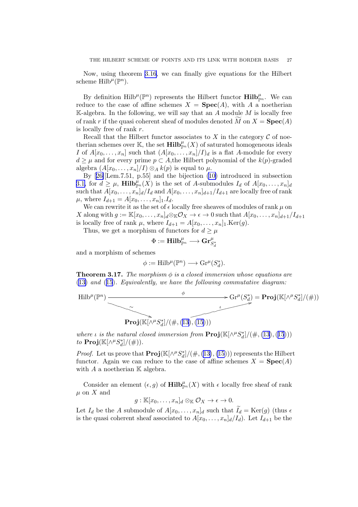<span id="page-27-0"></span>Now, using theorem [3.16](#page-25-0), we can finally give equations for the Hilbert scheme  $\text{Hilb}^{\mu}(\mathbb{P}^n)$ .

By definition  $\text{Hilb}^{\mu}(\mathbb{P}^n)$  represents the Hilbert functor  $\text{Hilb}_{\mathbb{P}^n}^{\mu}$ . We can reduce to the case of affine schemes  $X = \text{Spec}(A)$ , with A a noetherian K-algebra. In the following, we will say that an  $A$  module  $M$  is locally free of rank r if the quasi coherent sheaf of modules denoted M on  $X = \textbf{Spec}(A)$ is locally free of rank r.

Recall that the Hilbert functor associates to X in the category  $\mathcal C$  of noetherian schemes over K, the set  $\text{Hilb}_{\mathbb{P}^n}^{\mu}(X)$  of saturated homogeneous ideals I of  $A[x_0, \ldots, x_n]$  such that  $(A[x_0, \ldots, x_n]/I)_d$  is a flat A-module for every  $d \geq \mu$  and for every prime  $p \subset A$ , the Hilbert polynomial of the  $k(p)$ -graded algebra  $(A[x_0, \ldots, x_n]/I) \otimes_A k(p)$  is equal to  $\mu$ .

By[[26\]](#page-39-0)[Lem.7.51, p.55] and the bijection [\(10\)](#page-17-0) introduced in subsection [3.1,](#page-15-0) for  $d \geq \mu$ , Hilb $_{\mathbb{P}^n}^{\hat{\mu}}(X)$  is the set of A-submodules  $I_d$  of  $A[x_0,\ldots,x_n]_d$ such that  $A[x_0, \ldots, x_n]_d/I_d$  and  $A[x_0, \ldots, x_n]_{d+1}/I_{d+1}$  are locally free of rank  $\mu$ , where  $I_{d+1} = A[x_0, \ldots, x_n]_1 I_d$ .

We can rewrite it as the set of  $\epsilon$  locally free sheaves of modules of rank  $\mu$  on X along with  $g := \mathbb{K}[x_0, \ldots, x_n]_d \otimes_{\mathbb{K}} \mathcal{O}_X \to \epsilon \to 0$  such that  $A[x_0, \ldots, x_n]_{d+1}/I_{d+1}$ is locally free of rank  $\mu$ , where  $I_{d+1} = A[x_0, \ldots, x_n]_1$ . Ker(g).

Thus, we get a morphism of functors for  $d \geq \mu$ 

$$
\Phi:=\mathbf{Hilb}_{\mathbb{P}^n}^\mu\longrightarrow\mathbf{Gr}_{S_d^*}^\mu
$$

and a morphism of schemes

$$
\phi := \operatorname{Hilb}^{\mu}(\mathbb{P}^n) \longrightarrow \operatorname{Gr}^{\mu}(S_d^*).
$$

**Theorem 3.17.** *The morphism*  $\phi$  *is a closed immersion whose equations are* ([13\)](#page-21-0) *and* ([15](#page-22-0))*. Equivalently, we have the following commutative diagram:*



*where ι is the natural closed immersion from*  $\text{Proj}(\mathbb{K}[\wedge^{\mu}S_d^*]/(\#,(13),(15)))$  $\text{Proj}(\mathbb{K}[\wedge^{\mu}S_d^*]/(\#,(13),(15)))$  $\text{Proj}(\mathbb{K}[\wedge^{\mu}S_d^*]/(\#,(13),(15)))$  $\text{Proj}(\mathbb{K}[\wedge^{\mu}S_d^*]/(\#,(13),(15)))$  $\text{Proj}(\mathbb{K}[\wedge^{\mu}S_d^*]/(\#,(13),(15)))$ *to*  $\text{Proj}(\mathbb{K}[\wedge^{\mu}S_{d}^{*}]/(\#)).$ 

*Proof.* Let us prove that  $\text{Proj}(\mathbb{K}[\wedge^{\mu}S_d^*]/(\#,(13),(15)))$  $\text{Proj}(\mathbb{K}[\wedge^{\mu}S_d^*]/(\#,(13),(15)))$  $\text{Proj}(\mathbb{K}[\wedge^{\mu}S_d^*]/(\#,(13),(15)))$  $\text{Proj}(\mathbb{K}[\wedge^{\mu}S_d^*]/(\#,(13),(15)))$  $\text{Proj}(\mathbb{K}[\wedge^{\mu}S_d^*]/(\#,(13),(15)))$  represents the Hilbert functor. Again we can reduce to the case of affine schemes  $X = \text{Spec}(A)$ with  $A$  a noetherian  $\mathbb K$  algebra.

Consider an element  $(\epsilon, g)$  of  $\mathbf{Hilb}_{\mathbb{P}^n}^{\mu}(X)$  with  $\epsilon$  locally free sheaf of rank  $\mu$  on X and

$$
g: \mathbb{K}[x_0,\ldots,x_n]_d \otimes_{\mathbb{K}} \mathcal{O}_X \to \epsilon \to 0.
$$

Let  $I_d$  be the A submodule of  $A[x_0, \ldots, x_n]_d$  such that  $I_d = \text{Ker}(g)$  (thus  $\epsilon$ is the quasi coherent sheaf associated to  $A[x_0, \ldots, x_n]_d/I_d$ . Let  $I_{d+1}$  be the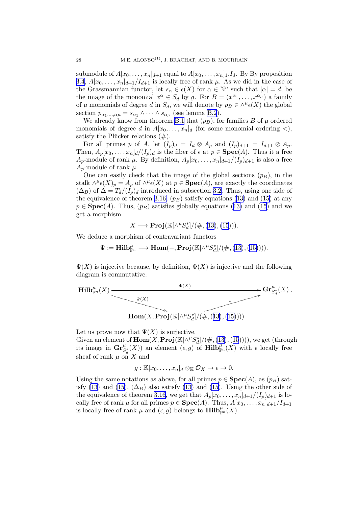submodule of  $A[x_0, \ldots, x_n]_{d+1}$  equal to  $A[x_0, \ldots, x_n]_1 \ldots I_d$ . By By proposition [3.4,](#page-16-0)  $A[x_0, \ldots, x_n]_{d+1}/I_{d+1}$  is locally free of rank  $\mu$ . As we did in the case of the Grassmannian functor, let  $s_{\alpha} \in \epsilon(X)$  for  $\alpha \in \mathbb{N}^n$  such that  $|\alpha| = d$ , be the image of the monomial  $x^{\alpha} \in S_d$  by g. For  $B = (x^{\alpha_1}, \dots, x^{\alpha_{\mu}})$  a family of  $\mu$  monomials of degree d in  $S_d$ , we will denote by  $p_B \in \wedge^{\mu} \epsilon(X)$  the global section  $p_{\alpha_1,\dots,\alpha\mu} = s_{\alpha_1} \wedge \dots \wedge s_{\alpha_\mu}$  (see lemma [B.2](#page-33-0)).

We already know from theorem [B.1](#page-33-0) that  $(p_B)$ , for families B of  $\mu$  ordered monomials of degree d in  $A[x_0, \ldots, x_n]_d$  (for some monomial ordering <), satisfy the Plücker relations  $(\#)$ .

For all primes p of A, let  $(I_p)_d = I_d \otimes A_p$  and  $(I_p)_{d+1} = I_{d+1} \otimes A_p$ . Then,  $A_p[x_0, \ldots, x_n]_d/(I_p)_d$  is the fiber of  $\epsilon$  at  $p \in \text{Spec}(A)$ . Thus it a free  $A_p$ -module of rank  $\mu$ . By definition,  $A_p[x_0, \ldots, x_n]_{d+1}/(I_p)_{d+1}$  is also a free  $A_p$ -module of rank  $\mu$ .

One can easily check that the image of the global sections  $(p_B)$ , in the stalk  $\wedge^{\mu} \epsilon(X)_p = A_p$  of  $\wedge^{\mu} \epsilon(X)$  at  $p \in \text{Spec}(A)$ , are exactly the coordinates  $(\Delta_B)$  of  $\Delta = T_d/(I_p)_d$  introduced in subsection [3.2.](#page-18-0) Thus, using one side of the equivalence of theorem [3.16,](#page-25-0) $(p_B)$  satisfy equations [\(13](#page-21-0)) and ([15\)](#page-22-0) at any  $p \in \text{Spec}(A)$  $p \in \text{Spec}(A)$  $p \in \text{Spec}(A)$ . Thus,  $(p_B)$  satisfies globally equations ([13\)](#page-21-0) and [\(15](#page-22-0)) and we get a morphism

$$
X \longrightarrow \mathbf{Proj}(\mathbb{K}[\wedge^{\mu}S_d^*]/(\#,(13),(15))).
$$

We deduce a morphism of contravariant functors

$$
\Psi := \mathbf{Hilb}_{\mathbb{P}^n}^{\mu} \longrightarrow \mathbf{Hom}(-, \mathbf{Proj}(\mathbb{K}[\wedge^{\mu}S_d^*]/(\#,(13),(15)))).
$$

 $\Psi(X)$  is injective because, by definition,  $\Phi(X)$  is injective and the following diagram is commutative:



Let us prove now that  $\Psi(X)$  is surjective.

Given an element of  $\textbf{Hom}(X, \textbf{Proj}(\mathbb{K}[\wedge^{\mu}S_d^*]/(\#,(13),(15))))$  $\textbf{Hom}(X, \textbf{Proj}(\mathbb{K}[\wedge^{\mu}S_d^*]/(\#,(13),(15))))$  $\textbf{Hom}(X, \textbf{Proj}(\mathbb{K}[\wedge^{\mu}S_d^*]/(\#,(13),(15))))$  $\textbf{Hom}(X, \textbf{Proj}(\mathbb{K}[\wedge^{\mu}S_d^*]/(\#,(13),(15))))$  $\textbf{Hom}(X, \textbf{Proj}(\mathbb{K}[\wedge^{\mu}S_d^*]/(\#,(13),(15))))$ , we get (through its image in  $\mathbf{Gr}^{\mu}_{S_d}(X)$  an element  $(\epsilon, g)$  of  $\mathbf{Hilb}_{\mathbb{P}^n}^{\mu}(X)$  with  $\epsilon$  locally free sheaf of rank  $\mu$  on X and

 $g: \mathbb{K}[x_0,\ldots,x_n]_d \otimes_{\mathbb{K}} \mathcal{O}_X \to \epsilon \to 0.$ 

Using the same notations as above, for all primes  $p \in \textbf{Spec}(A)$ , as  $(p_B)$  sat-isfy [\(13](#page-21-0))and ([15\)](#page-22-0),  $(\Delta_B)$  also satisfy (13) and [\(15\)](#page-22-0). Using the other side of the equivalence of theorem [3.16](#page-25-0), we get that  $A_p[x_0, \ldots, x_n]_{d+1}/(I_p)_{d+1}$  is locally free of rank  $\mu$  for all primes  $p \in \textbf{Spec}(A)$ . Thus,  $A[x_0, \ldots, x_n]_{d+1}/I_{d+1}$ is locally free of rank  $\mu$  and  $(\epsilon, g)$  belongs to  $\text{Hilb}_{\mathbb{P}^n}^{\mu}(X)$ .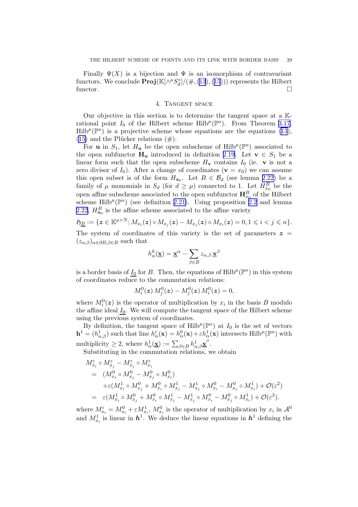Finally  $\Psi(X)$  is a bijection and  $\Psi$  is an isomorphism of contravariant functors. We conclude  $\textbf{Proj}(\mathbb{K}[\wedge^{\mu}S_d^*]/(\#,(13),(15)))$  $\textbf{Proj}(\mathbb{K}[\wedge^{\mu}S_d^*]/(\#,(13),(15)))$  $\textbf{Proj}(\mathbb{K}[\wedge^{\mu}S_d^*]/(\#,(13),(15)))$  $\textbf{Proj}(\mathbb{K}[\wedge^{\mu}S_d^*]/(\#,(13),(15)))$  $\textbf{Proj}(\mathbb{K}[\wedge^{\mu}S_d^*]/(\#,(13),(15)))$  represents the Hilbert functor.  $\Box$ 

### 4. Tangent space

Our objective in this section is to determine the tangent space at a Krational point  $I_0$  of the Hilbert scheme Hilb<sup> $\mu$ </sup>( $\mathbb{P}^n$ ). From Theorem [3.17](#page-27-0),  $Hilb^{\mu}(\mathbb{P}^n)$  is a projective scheme whose equations are the equations [\(13\)](#page-21-0), ([15\)](#page-22-0) and the Plücker relations  $(\#)$ .

For **u** in  $S_1$ , let  $H_u$  be the open subscheme of Hilb<sup> $\mu$ </sup>( $\mathbb{P}^n$ ) associated to the open subfunctor  $H_u$  introduced in definition [2.19.](#page-12-0) Let  $v \in S_1$  be a linear form such that the open subscheme  $H_v$  contains  $I_0$  (ie. v is not a zero divisor of  $I_0$ ). After a change of coordinates  $(\mathbf{v} = x_0)$  we can assume this open subset is of the form  $H_{\mathbf{x}_0}$ . Let  $B \in \mathcal{B}_d$  (see lemma [2.22\)](#page-14-0) be a family of  $\mu$  monomials in  $S_d$  (for  $d \geq \mu$ ) connected to 1. Let  $H_{x_0}^B$  be the open affine subscheme associated to the open subfunctor  $\mathbf{H}_{x_0}^B$  of the Hilbert scheme Hilb<sup> $\mu$ </sup>( $\mathbb{P}^n$ ) (see definition [2.21\)](#page-14-0). Using proposition [2.2](#page-5-0) and lemma [2.22,](#page-14-0)  $H_{\mathbf{x}_0}^B$  is the affine scheme associated to the affine variety

$$
\mathfrak{H}_{\underline{B}} := \{ \mathbf{z} \in \mathbb{K}^{\mu \times N}; M_{x_i}(\mathbf{z}) \circ M_{x_j}(\mathbf{z}) - M_{x_j}(\mathbf{z}) \circ M_{x_i}(\mathbf{z}) = 0, 1 \leq i < j \leq n \}.
$$
\nThe system of coordinates of this variety is the set of parameters  $\mathbf{z} =$ 

The system of coordinates of this variety is the set of parameters  $z =$  $(z_{\alpha,\beta})_{\alpha\in\partial B,\beta\in B}$  such that

$$
h_\alpha^0(\underline{\mathbf{x}}) = \underline{\mathbf{x}}^\alpha - \sum_{\beta \in B} z_{\alpha,\beta} \, \underline{\mathbf{x}}^\beta
$$

is a border basis of  $I_0$  for B. Then, the equations of Hilb<sup> $\mu$ </sup>( $\mathbb{P}^n$ ) in this system of coordinates reduce to the commutation relations:

$$
M_i^0({\bm z})\, M_j^0({\bm z}) - M_j^0({\bm z})\, M_i^0({\bm z}) = 0,
$$

where  $M_i^0(z)$  is the operator of multiplication by  $x_i$  in the basis B modulo the affine ideal  $I_0$ . We will compute the tangent space of the Hilbert scheme using the previous system of coordinates.

By definition, the tangent space of Hilb<sup> $\mu$ </sup>( $\mathbb{P}^n$ ) at  $I_0$  is the set of vectors  $\mathbf{h}^1 = (h_{\alpha,\beta}^1)$  such that line  $h_{\alpha}^{\varepsilon}(\mathbf{x}) = h_{\alpha}^0(\mathbf{x}) + \varepsilon h_{\alpha}^1(\mathbf{x})$  intersects Hilb<sup> $\mu$ </sup>( $\mathbb{P}^n$ ) with multiplicity  $\geq 2$ , where  $h^1_\alpha(\underline{\mathbf{x}}) := \sum_{\beta \in B} h^1_{\alpha,\beta} \underline{\mathbf{x}}^\beta$ .

Substituting in the commutation relations, we obtain

$$
\begin{split} M^{\varepsilon}_{x_i} &\circ M^{\varepsilon}_{x_j} - M^{\varepsilon}_{x_j} \circ M^{\varepsilon}_{x_i} \\ & = \left( M^0_{x_i} \circ M^0_{x_j} - M^0_{x_j} \circ M^0_{x_i} \right) \\ & \qquad + \varepsilon (M^1_{x_i} \circ M^0_{x_j} + M^0_{x_i} \circ M^1_{x_j} - M^1_{x_j} \circ M^0_{x_i} - M^0_{x_j} \circ M^1_{x_i}) + \mathcal{O}(\varepsilon^2) \\ & = \varepsilon (M^1_{x_i} \circ M^0_{x_j} + M^0_{x_i} \circ M^1_{x_j} - M^1_{x_j} \circ M^0_{x_i} - M^0_{x_j} \circ M^1_{x_i}) + \mathcal{O}(\varepsilon^2). \end{split}
$$

where  $M_{x_i}^{\varepsilon} = M_{x_i}^0 + \varepsilon M_{x_i}^1$ ,  $M_{x_i}^0$  is the operator of multiplication by  $x_i$  in  $\mathcal{A}^0$ and  $M_{x_i}^1$  is linear in  $h^1$ . We deduce the linear equations in  $h^1$  defining the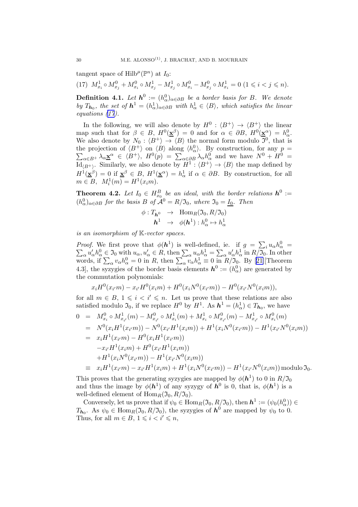<span id="page-30-0"></span>tangent space of  $\text{Hilb}^{\mu}(\mathbb{P}^n)$  at  $I_0$ :

(17)  $M_{x_i}^1 \circ M_{x_j}^0 + M_{x_i}^0 \circ M_{x_j}^1 - M_{x_j}^1 \circ M_{x_i}^0 - M_{x_j}^0 \circ M_{x_i}^1 = 0$   $(1 \le i \le j \le n)$ .

**Definition 4.1.** Let  $h^0 := (h^0_\alpha)_{\alpha \in \partial B}$  be a border basis for B. We denote *by*  $T_{h_0}$ , the set of  $h^1 = (h^1_\alpha)_{\alpha \in \partial B}$  with  $h^1_\alpha \in \langle B \rangle$ , which satisfies the linear *equations (17).*

In the following, we will also denote by  $H^0: \langle B^+ \rangle \to \langle B^+ \rangle$  the linear map such that for  $\beta \in B$ ,  $H^0(\underline{\mathbf{x}}^\beta) = 0$  and for  $\alpha \in \partial B$ ,  $H^0(\underline{\mathbf{x}}^\alpha) = h^0_\alpha$ . We also denote by  $N_0: \langle B^+ \rangle \to \langle B \rangle$  the normal form modulo  $\mathfrak{I}^0$ , that is the projection of  $\langle B^+ \rangle$  on  $\langle B \rangle$  along  $\langle h_\alpha^0 \rangle$ . By construction, for any  $p =$ the projection of  $\langle B^* \rangle$  on  $\langle B \rangle$  along  $\langle h_{\alpha} \rangle$ . By construction, for any  $p =$ <br> $\sum_{\alpha \in B^+} \lambda_{\alpha} \underline{\mathbf{x}}^{\alpha} \in \langle B^+ \rangle$ ,  $H^0(p) = \sum_{\alpha \in \partial B} \lambda_{\alpha} h_{\alpha}^0$  and we have  $N^0 + H^0 =$  $\mathrm{Id}_{\langle B^+ \rangle}$ . Similarly, we also denote by  $H^1: \langle B^+ \rangle \to \langle B \rangle$  the map defined by  $H^1(\underline{\mathbf{x}}^\beta) = 0$  if  $\underline{\mathbf{x}}^\beta \in B$ ,  $H^1(\underline{\mathbf{x}}^\alpha) = h^1_\alpha$  if  $\alpha \in \partial B$ . By construction, for all  $m \in B$ ,  $M_i^1(m) = H^1(x_i m)$ .

**Theorem 4.2.** Let  $I_0 \in H_{x_0}^B$  be an ideal, with the border relations  $h^0 :=$  $(h_{\alpha}^{0})_{\alpha \in \partial B}$  *for the basis* B *of*  $\mathcal{A}^{0} = R/\mathfrak{I}_{0}$ *, where*  $\mathfrak{I}_{0} = I_{0}$ *. Then* 

$$
\begin{array}{rcl}\n\phi: T_{\boldsymbol{h}^0} & \to & \text{Hom}_R(\mathfrak{I}_0, R/\mathfrak{I}_0) \\
\boldsymbol{h}^1 & \to & \phi(\boldsymbol{h}^1): h^0_\alpha \mapsto h^1_\alpha\n\end{array}
$$

*is an isomorphism of* K*-vector spaces.*

*Proof.* We first prove that  $\phi(\mathbf{h}^1)$  is well-defined, ie. if  $g = \sum_i u_{\alpha} h_{\alpha}^0 = \sum_{\alpha} u'_{\alpha} h_{\alpha}^0 \in \mathfrak{I}_0$  with  $u_{\alpha}, u'_{\alpha} \in R$ , then  $\sum_{\alpha} u_{\alpha} h_{\alpha}^1 = \sum_{\alpha} u'_{\alpha} h_{\alpha}^1$  in  $R/\mathfrak{I}_0$ . In other words,if  $\sum_{\alpha} v_{\alpha} h_{\alpha}^0 = 0$  in R, then  $\sum_{\alpha} v_{\alpha} h_{\alpha}^1 \equiv 0$  in  $R/\mathfrak{I}_0$ . By [[21\]](#page-39-0) [Theorem 4.3, the syzygies of the border basis elements  $h^0 := (h^0_\alpha)$  are generated by the commutation polynomials:

$$
x_iH^0(x_{i'}m) - x_{i'}H^0(x_{i}m) + H^0(x_iN^0(x_{i'}m)) - H^0(x_{i'}N^0(x_{i}m)),
$$

for all  $m \in B$ ,  $1 \leq i \leq i' \leq n$ . Let us prove that these relations are also satisfied modulo  $\mathfrak{I}_0$ , if we replace  $H^0$  by  $H^1$ . As  $h^1 = (h^1_\alpha) \in T_{h_0}$ , we have

$$
0 = M_{x_i}^0 \circ M_{x_{i'}}^1(m) - M_{x_{i'}}^0 \circ M_{x_i}^1(m) + M_{x_i}^1 \circ M_{x_{i'}}^0(m) - M_{x_{i'}}^1 \circ M_{x_i}^0(m)
$$
  
\n
$$
= N^0(x_i H^1(x_{i'}m)) - N^0(x_{i'} H^1(x_{i}m)) + H^1(x_i N^0(x_{i'}m)) - H^1(x_{i'} N^0(x_{i}m))
$$
  
\n
$$
= x_i H^1(x_{i'}m) - H^0(x_i H^1(x_{i'}m))
$$
  
\n
$$
- x_{i'} H^1(x_{i}m) + H^0(x_{i'} H^1(x_{i}m))
$$
  
\n
$$
+ H^1(x_i N^0(x_{i'}m)) - H^1(x_{i'} N^0(x_{i}m))
$$
  
\n
$$
\equiv x_i H^1(x_{i'}m) - x_{i'} H^1(x_{i}m) + H^1(x_i N^0(x_{i'}m)) - H^1(x_{i'} N^0(x_{i}m)) \text{ modulo } \mathfrak{I}_0.
$$

This proves that the generating syzygies are mapped by  $\phi(\mathbf{h}^1)$  to 0 in  $R/\mathfrak{I}_0$ and thus the image by  $\phi(h^1)$  of any syzygy of  $h^0$  is 0, that is,  $\phi(h^1)$  is a well-defined element of  $\text{Hom}_R(\mathfrak{I}_0, R/\mathfrak{I}_0)$ .

Conversely, let us prove that if  $\psi_0 \in \text{Hom}_R(\mathfrak{I}_0, R/\mathfrak{I}_0)$ , then  $h^1 := (\psi_0(h^0_\alpha)) \in$  $T_{h_0}$ . As  $\psi_0 \in \text{Hom}_R(\mathfrak{I}_0, R/\mathfrak{I}_0)$ , the syzygies of  $h^0$  are mapped by  $\psi_0$  to 0. Thus, for all  $m \in B$ ,  $1 \leq i \leq i' \leq n$ ,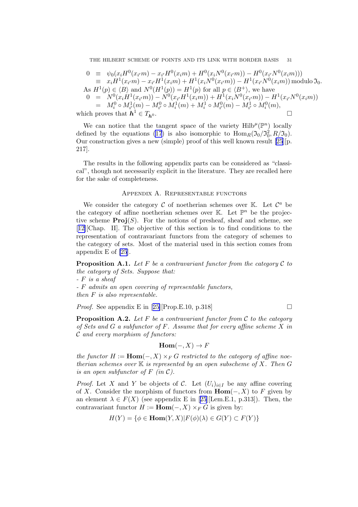- <span id="page-31-0"></span> $0 \equiv \psi_0(x_i H^0(x_{i'}m) - x_{i'}H^0(x_im) + H^0(x_i N^0(x_{i'}m)) - H^0(x_{i'}N^0(x_im)))$  $\equiv x_i H^1(x_{i'}m) - x_{i'}H^1(x_im) + H^1(x_i N^0(x_{i'}m)) - H^1(x_{i'}N^0(x_im))$  modulo  $\mathfrak{I}_0$ .
- As  $H^1(p) \in \langle B \rangle$  and  $N^0(H^1(p)) = H^1(p)$  for all  $p \in \langle B^+ \rangle$ , we have
- $0 = N^0(x_iH^1(x_{i'}m)) N^0(x_{i'}H^1(x_im)) + H^1(x_iN^0(x_{i'}m)) H^1(x_{i'}N^0(x_im))$  $= M_i^0 \circ M_{i'}^1(m) - M_{i'}^0 \circ M_i^1(m) + M_i^1 \circ M_{i'}^0(m) - M_{i'}^1 \circ M_i^0(m),$

which proves that  $h^1 \in T_h$  $\overline{\phantom{a}}$  .

We can notice that the tangent space of the variety  $\text{Hilb}^{\mu}(\mathbb{P}^n)$  locally defined by the equations [\(17](#page-30-0)) is also isomorphic to  $\text{Hom}_R(\mathfrak{I}_0/\mathfrak{I}_0^2, R/\mathfrak{I}_0)$ . Our construction gives a new (simple) proof of this well known result [\[25](#page-39-0)][p. 217].

The results in the following appendix parts can be considered as "classical", though not necessarily explicit in the literature. They are recalled here for the sake of completeness.

#### Appendix A. Representable functors

We consider the category  $\mathcal C$  of noetherian schemes over  $\mathbb K$ . Let  $\mathcal C^a$  be the category of affine noetherian schemes over  $K$ . Let  $\mathbb{P}^n$  be the projective scheme  $\text{Proj}(S)$ . For the notions of presheaf, sheaf and scheme, see [[12\]](#page-38-0)[Chap. II]. The objective of this section is to find conditions to the representation of contravariant functors from the category of schemes to the category of sets. Most of the material used in this section comes from appendix E of [\[25](#page-39-0)].

**Proposition A.1.** Let  $F$  be a contravariant functor from the category  $C$  to *the category of Sets. Suppose that:*

*-* F *is a sheaf*

*-* F *admits an open covering of representable functors,*

*then* F *is also representable.*

*Proof.*See appendix E in [[25\]](#page-39-0)[Prop.E.10, p.318]

Proposition A.2. *Let* F *be a contravariant functor from* C *to the category of Sets and* G *a subfunctor of* F*. Assume that for every affine scheme* X *in* C *and every morphism of functors:*

$$
\mathbf{Hom}(-,X)\to F
$$

*the functor*  $H := \text{Hom}(-, X) \times_F G$  *restricted to the category of affine noetherian schemes over* K *is represented by an open subscheme of* X*. Then* G *is an open subfunctor of*  $F$  *(in C).* 

*Proof.* Let X and Y be objects of C. Let  $(U_i)_{i\in I}$  be any affine covering of X. Consider the morphism of functors from  $\text{Hom}(-, X)$  to F given by anelement  $\lambda \in F(X)$  (see appendix E in [[25](#page-39-0)][Lem.E.1, p.313]). Then, the contravariant functor  $H := \text{Hom}(-, X) \times_F G$  is given by:

$$
H(Y) = \{ \phi \in \text{Hom}(Y, X) | F(\phi)(\lambda) \in G(Y) \subset F(Y) \}
$$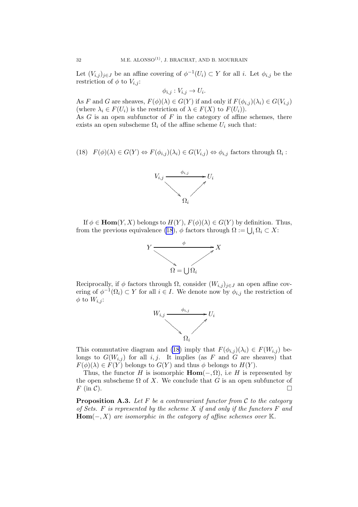<span id="page-32-0"></span>Let  $(V_{i,j})_{j\in J}$  be an affine covering of  $\phi^{-1}(U_i) \subset Y$  for all i. Let  $\phi_{i,j}$  be the restriction of  $\phi$  to  $V_{i,j}$ :

$$
\phi_{i,j}: V_{i,j} \to U_i.
$$

As F and G are sheaves,  $F(\phi)(\lambda) \in G(Y)$  if and only if  $F(\phi_{i,j})(\lambda_i) \in G(V_{i,j})$ (where  $\lambda_i \in F(U_i)$  is the restriction of  $\lambda \in F(X)$  to  $F(U_i)$ ).

As  $G$  is an open subfunctor of  $F$  in the category of affine schemes, there exists an open subscheme  $\Omega_i$  of the affine scheme  $U_i$  such that:

(18) 
$$
F(\phi)(\lambda) \in G(Y) \Leftrightarrow F(\phi_{i,j})(\lambda_i) \in G(V_{i,j}) \Leftrightarrow \phi_{i,j}
$$
 factors through  $\Omega_i$ :



If  $\phi \in \text{Hom}(Y, X)$  belongs to  $H(Y)$ ,  $F(\phi)(\lambda) \in G(Y)$  by definition. Thus, from the previous equivalence (18),  $\phi$  factors through  $\Omega := \bigcup_i \Omega_i \subset X$ :



Reciprocally, if  $\phi$  factors through  $\Omega$ , consider  $(W_{i,j})_{j\in J}$  an open affine covering of  $\phi^{-1}(\Omega_i) \subset Y$  for all  $i \in I$ . We denote now by  $\phi_{i,j}$  the restriction of  $\phi$  to  $W_{i,j}$ :



This commutative diagram and (18) imply that  $F(\phi_{i,j})(\lambda_i) \in F(W_{i,j})$  belongs to  $G(W_{i,j})$  for all i, j. It implies (as F and G are sheaves) that  $F(\phi)(\lambda) \in F(Y)$  belongs to  $G(Y)$  and thus  $\phi$  belongs to  $H(Y)$ .

Thus, the functor H is isomorphic  $\text{Hom}(-, \Omega)$ , i.e H is represented by the open subscheme  $\Omega$  of X. We conclude that G is an open subfunctor of  $F$  (in C).

Proposition A.3. *Let* F *be a contravariant functor from* C *to the category of Sets.* F *is represented by the scheme* X *if and only if the functors* F *and*  $Hom(-, X)$  *are isomorphic in the category of affine schemes over*  $K$ *.*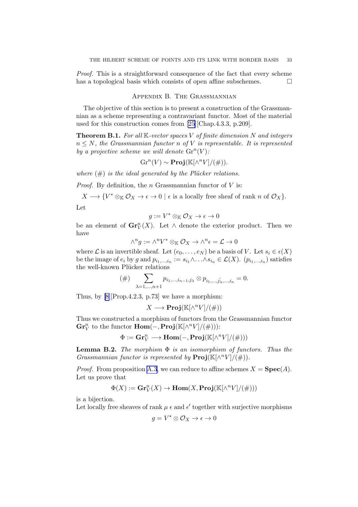<span id="page-33-0"></span>*Proof.* This is a straightforward consequence of the fact that every scheme has a topological basis which consists of open affine subschemes.  $\Box$ 

### Appendix B. The Grassmannian

The objective of this section is to present a construction of the Grassmannian as a scheme representing a contravariant functor. Most of the material used for this construction comes from [\[25\]](#page-39-0)[Chap.4.3.3, p.209].

Theorem B.1. *For all* K*-vector spaces* V *of finite dimension* N *and integers* n ≤ N*, the Grassmannian functor* n *of* V *is representable. It is represented* by a projective scheme we will denote  $\mathrm{Gr}^n(V)$ :

$$
Gr^{n}(V) \sim \mathbf{Proj}(\mathbb{K}[\wedge^{n}V]/(\#)).
$$

*where*  $(\#)$  *is the ideal generated by the Plücker relations.* 

*Proof.* By definition, the n Grassmannian functor of  $V$  is:

 $X \longrightarrow \{V^* \otimes_{\mathbb{K}} \mathcal{O}_X \to \epsilon \to 0 \mid \epsilon \text{ is a locally free sheaf of rank } n \text{ of } \mathcal{O}_X\}.$ Let

$$
g:=V^*\otimes_{\mathbb{K}}\mathcal{O}_X\to\epsilon\to 0
$$

be an element of  $\mathbf{Gr}_V^n(X)$ . Let  $\wedge$  denote the exterior product. Then we have

$$
\wedge^n g := \wedge^n V^* \otimes_{\mathbb{K}} \mathcal{O}_X \to \wedge^n \epsilon = \mathcal{L} \to 0
$$

where  $\mathcal L$  is an invertible sheaf. Let  $(e_0, \ldots, e_N)$  be a basis of V. Let  $s_i \in \epsilon(X)$ be the image of  $e_i$  by g and  $p_{i_1,...,i_n} := s_{i_1} \wedge ... \wedge s_{i_n} \in \mathcal{L}(X)$ .  $(p_{i_1,...,i_n})$  satisfies the well-known Plücker relations

$$
(\#) \sum_{\lambda=1,...,n+1} p_{i_1,...,i_{n-1},j_{\lambda}} \otimes p_{i_1,...,\hat{j_{\lambda}},...,i_n} = 0.
$$

Thus, by [\[8\]](#page-38-0)[Prop.4.2.3, p.73] we have a morphism:

$$
X \longrightarrow \mathbf{Proj}(\mathbb{K}[\wedge^n V]/(\#))
$$

Thus we constructed a morphism of functors from the Grassmannian functor  $\mathbf{Gr}_V^n$  to the functor  $\mathbf{Hom}(-, \mathbf{Proj}(\mathbb{K}[\wedge^n V]/(\#)))$ :

$$
\Phi:=\mathbf{Gr}_V^n\longrightarrow \mathbf{Hom}(-,\mathbf{Proj}(\mathbb{K}[\wedge^nV]/(\#)))
$$

Lemma B.2. *The morphism* Φ *is an isomorphism of functors. Thus the Grassmannian functor is represented by*  $\text{Proj}(\mathbb{K}[\wedge^n V]/(\#)).$ 

*Proof.* From proposition [A.3,](#page-32-0) we can reduce to affine schemes  $X = \textbf{Spec}(A)$ . Let us prove that

$$
\Phi(X):=\mathbf{Gr}_V^n(X)\to \mathbf{Hom}(X,\mathbf{Proj}(\mathbb{K}[\wedge^nV]/(\#)))
$$

is a bijection.

Let locally free sheaves of rank  $\mu \in \mathbb{R}^d$  together with surjective morphisms

$$
g = V^* \otimes \mathcal{O}_X \to \epsilon \to 0
$$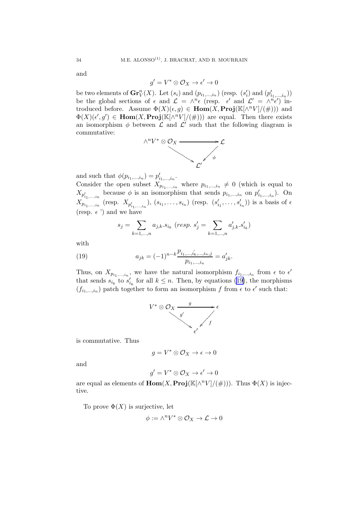and

$$
g' = V^* \otimes \mathcal{O}_X \to \epsilon' \to 0
$$

be two elements of  $\mathbf{Gr}_V^n(X)$ . Let  $(s_i)$  and  $(p_{i_1,\ldots,i_n})$  (resp.  $(s'_i)$  and  $(p'_{i_1,\ldots,i_n})$ ) be the global sections of  $\epsilon$  and  $\mathcal{L} = \wedge^n \epsilon$  (resp.  $\epsilon'$  and  $\mathcal{L}' = \wedge^n \epsilon'$ ) introduced before. Assume  $\Phi(X)(\epsilon, g) \in \text{Hom}(X, \text{Proj}(\mathbb{K}[\wedge^n V]/(\#)))$  and  $\Phi(X)(\epsilon', g') \in \text{Hom}(X, \text{Proj}(\mathbb{K}[\wedge^n V]/(\#)))$  are equal. Then there exists an isomorphism  $\phi$  between  $\mathcal L$  and  $\mathcal L'$  such that the following diagram is commutative:



and such that  $\phi(p_{i_1,...,i_n}) = p'_{i_1,...,i_n}$ .

Consider the open subset  $X_{p_{i_1,...,i_n}}$  where  $p_{i_1,...,i_n} \neq 0$  (which is equal to  $X_{p'_{i_1,\dots,i_n}}$  because  $\phi$  is an isomorphism that sends  $p_{i_1,\dots,i_n}$  on  $p'_{i_1,\dots,i_n}$ ). On  $X_{p_{i_1,...,i_n}}$  (resp.  $X_{p'_{i_1,...,i_n}}$ ),  $(s_{i_1},...,s_{i_n})$  (resp.  $(s'_{i_1},...,s'_{i_n})$ ) is a basis of  $\epsilon$ (resp.  $\epsilon$ <sup>'</sup>) and we have

$$
s_j = \sum_{k=1,\ldots,n} a_{j,k}.s_{i_k} \ (resp. \ s_j' = \sum_{k=1,\ldots,n} a_{j,k}'.s_{i_k}')
$$

with

(19) 
$$
a_{jk} = (-1)^{n-k} \frac{p_{i_1,\dots,\hat{i_k},\dots,i_n,j}}{p_{i_1,\dots,i_n}} = a'_{jk}.
$$

Thus, on  $X_{p_{i_1,\ldots,i_n}}$ , we have the natural isomorphism  $f_{i_1,\ldots,i_n}$  from  $\epsilon$  to  $\epsilon'$ that sends  $s_{i_k}$  to  $s'_{i_k}$  for all  $k \leq n$ . Then, by equations (19), the morphisms  $(f_{i_1,\ldots,i_n})$  patch together to form an isomorphism f from  $\epsilon$  to  $\epsilon'$  such that:



is commutative. Thus

$$
g = V^* \otimes \mathcal{O}_X \to \epsilon \to 0
$$

and

$$
g'=V^*\otimes \mathcal{O}_X\to \epsilon'\to 0
$$

are equal as elements of  $\text{Hom}(X, \text{Proj}(\mathbb{K}[\wedge^n V]/(\#)))$ . Thus  $\Phi(X)$  is injective.

To prove  $\Phi(X)$  is surjective, let

$$
\phi:=\wedge^n V^*\otimes \mathcal{O}_X\to \mathcal{L}\to 0
$$

<span id="page-34-0"></span>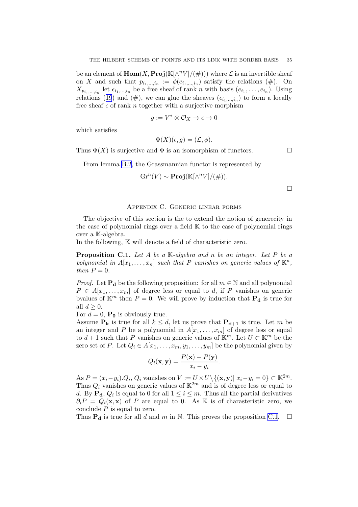<span id="page-35-0"></span>be an element of  $\text{Hom}(X, \text{Proj}(\mathbb{K}[\wedge^n V]/(\#)))$  where  $\mathcal L$  is an invertible sheaf on X and such that  $p_{i_1,...,i_n} := \phi(e_{i_1,...,i_n})$  satisfy the relations  $(\#)$ . On  $X_{p_{i_1,\ldots,i_n}}$  let  $\epsilon_{i_1,\ldots,i_n}$  be a free sheaf of rank n with basis  $(e_{i_1},\ldots,e_{i_n})$ . Using relations([19](#page-34-0)) and (#), we can glue the sheaves  $(\epsilon_{i_1,\dots,i_n})$  to form a locally free sheaf  $\epsilon$  of rank n together with a surjective morphism

$$
g := V^* \otimes \mathcal{O}_X \to \epsilon \to 0
$$

which satisfies

$$
\Phi(X)(\epsilon, g) = (\mathcal{L}, \phi).
$$

Thus  $\Phi(X)$  is surjective and  $\Phi$  is an isomorphism of functors.

From lemma [B.2,](#page-33-0) the Grassmannian functor is represented by

$$
Gr^{n}(V) \sim \mathbf{Proj}(\mathbb{K}[\wedge^{n}V]/(\#)).
$$

 $\Box$ 

### Appendix C. Generic linear forms

The objective of this section is the to extend the notion of generecity in the case of polynomial rings over a field  $K$  to the case of polynomial rings over a K-algebra.

In the following,  $\mathbb K$  will denote a field of characteristic zero.

Proposition C.1. *Let* A *be a* K*-algebra and* n *be an integer. Let* P *be a* polynomial in  $A[x_1, \ldots, x_n]$  such that P vanishes on generic values of  $\mathbb{K}^n$ , *then*  $P = 0$ *.* 

*Proof.* Let  $P_d$  be the following proposition: for all  $m \in \mathbb{N}$  and all polynomial  $P \in A[x_1, \ldots, x_m]$  of degree less or equal to d, if P vanishes on generic bvalues of  $\mathbb{K}^m$  then  $P = 0$ . We will prove by induction that  $P_d$  is true for all  $d \geq 0$ .

For  $d = 0$ ,  $P_0$  is obviously true.

Assume  $P_k$  is true for all  $k \leq d$ , let us prove that  $P_{d+1}$  is true. Let m be an integer and P be a polynomial in  $A[x_1, \ldots, x_m]$  of degree less or equal to  $d+1$  such that P vanishes on generic values of  $\mathbb{K}^m$ . Let  $U \subset \mathbb{K}^m$  be the zero set of P. Let  $Q_i \in A[x_1, \ldots, x_m, y_1, \ldots, y_m]$  be the polynomial given by

$$
Q_i(\mathbf{x}, \mathbf{y}) = \frac{P(\mathbf{x}) - P(\mathbf{y})}{x_i - y_i}.
$$

As  $P = (x_i - y_i) \cdot Q_i$ ,  $Q_i$  vanishes on  $V := U \times U \setminus \{(\mathbf{x}, \mathbf{y}) | x_i - y_i = 0\} \subset \mathbb{K}^{2m}$ . Thus  $Q_i$  vanishes on generic values of  $\mathbb{K}^{2m}$  and is of degree less or equal to d. By  $\mathbf{P_d}$ ,  $Q_i$  is equal to 0 for all  $1 \leq i \leq m$ . Thus all the partial derivatives  $\partial_i P = Q_i(\mathbf{x}, \mathbf{x})$  of P are equal to 0. As K is of charasteristic zero, we conclude  $P$  is equal to zero.

Thus  $P_d$  is true for all d and m in N. This proves the proposition C.1.  $\Box$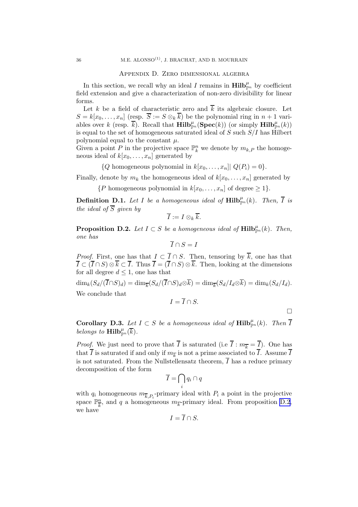#### Appendix D. Zero dimensional algebra

<span id="page-36-0"></span>In this section, we recall why an ideal I remains in  $\text{Hilb}_{\mathbb{P}^n}^{\mu}$  by coefficient field extension and give a characterization of non-zero divisibility for linear forms.

Let k be a field of characteristic zero and  $\overline{k}$  its algebraic closure. Let  $S = k[x_0, \ldots, x_n]$  (resp.  $\overline{S} := S \otimes_k \overline{k}$ ) be the polynomial ring in  $n + 1$  variables over k (resp.  $\overline{k}$ ). Recall that  $\textbf{Hilb}_{\mathbb{P}^n}^{\mu}(\textbf{Spec}(k))$  (or simply  $\textbf{Hilb}_{\mathbb{P}^n}^{\mu}(k)$ ) is equal to the set of homogeneous saturated ideal of  $S$  such  $S/I$  has Hilbert polynomial equal to the constant  $\mu$ .

Given a point P in the projective space  $\mathbb{P}_k^n$  we denote by  $m_{k,P}$  the homogeneous ideal of  $k[x_0, \ldots, x_n]$  generated by

 $\{Q \text{ homogeneous polynomial in } k[x_0, \ldots, x_n] \mid Q(P_i) = 0\}.$ 

Finally, denote by  $m_k$  the homogeneous ideal of  $k[x_0, \ldots, x_n]$  generated by

 $\{P \text{ homogeneous polynomial in } k[x_0, \ldots, x_n] \text{ of degree } \geq 1\}.$ 

**Definition D.1.** Let I be a homogeneous ideal of  $\text{Hilb}_{\mathbb{P}^n}^{\mu}(k)$ . Then,  $\overline{I}$  is *the ideal of*  $\overline{S}$  *given by* 

$$
\overline{I}:=I\otimes_k\overline{k}.
$$

**Proposition D.2.** Let  $I \subset S$  be a homogeneous ideal of  $\text{Hilb}_{\mathbb{P}^n}^{\mu}(k)$ . Then, *one has*

$$
\overline{I} \cap S = I
$$

*Proof.* First, one has that  $I \subset \overline{I} \cap S$ . Then, tensoring by  $\overline{k}$ , one has that  $\overline{I} \subset (\overline{I} \cap S) \otimes \overline{k} \subset \overline{I}$ . Thus  $\overline{I} = (\overline{I} \cap S) \otimes \overline{k}$ . Then, looking at the dimensions for all degree  $d \leq 1$ , one has that

 $\dim_k(S_d/(I\cap S)_d) = \dim_{\overline{k}}(S_d/(I\cap S)_d \otimes k) = \dim_{\overline{k}}(S_d/I_d \otimes k) = \dim_k(S_d/I_d).$ We conclude that

$$
I=\overline{I}\cap S.
$$

 $\Box$ 

**Corollary D.3.** Let  $I \subset S$  be a homogeneous ideal of  $\text{Hilb}_{\mathbb{P}^n}^{\mu}(k)$ . Then  $\overline{I}$ *belongs to*  $\textbf{Hilb}_{\mathbb{P}^n}^{\mu}(\overline{k})$ *.* 

*Proof.* We just need to prove that  $\overline{I}$  is saturated (i.e  $\overline{I}$  :  $m_{\overline{k}} = \overline{I}$ ). One has that I is saturated if and only if  $m_{\overline{k}}$  is not a prime associated to I. Assume I is not saturated. From the Nullstellensatz theorem,  $\overline{I}$  has a reduce primary decomposition of the form

$$
\overline{I} = \bigcap_i q_i \cap q
$$

with  $q_i$  homogeneous  $m_{\overline{k},P_i}$ -primary ideal with  $P_i$  a point in the projective space  $\mathbb{P}^n_{\overline{k}}$  $\frac{n}{k}$ , and q a homogeneous  $m_{\overline{k}}$ -primary ideal. From proposition D.2, we have

$$
I = I \cap S.
$$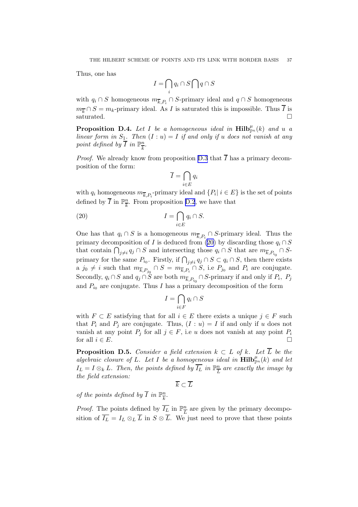<span id="page-37-0"></span>Thus, one has

$$
I = \bigcap_i q_i \cap S \bigcap q \cap S
$$

with  $q_i \cap S$  homogeneous  $m_{\overline{k},P_i} \cap S$ -primary ideal and  $q \cap S$  homogeneous  $m_{\overline{k}} \cap S = m_k$ -primary ideal. As I is saturated this is impossible. Thus  $\overline{I}$  is saturated.

**Proposition D.4.** Let I be a homogeneous ideal in  $\text{Hilb}_{\mathbb{P}^n}^{\mu}(k)$  and u a *linear form in*  $S_1$ *. Then*  $(I : u) = I$  *if and only if* u *does not vanish at any point defined by*  $\overline{I}$  *in*  $\mathbb{P}_{\overline{I}}^n$  $\frac{n}{k}$ .

*Proof.* We already know from proposition [D.3](#page-36-0) that  $\overline{I}$  has a primary decomposition of the form:

$$
\overline{I} = \bigcap_{i \in E} q_i
$$

with  $q_i$  homogeneous  $m_{\overline{k},P_i}$ -primary ideal and  $\{P_i | i \in E\}$  is the set of points defined by  $\overline{I}$  in  $\mathbb{P}^n_{\overline{I}_n}$  $\frac{n}{k}$ . From proposition [D.2](#page-36-0), we have that

(20) 
$$
I = \bigcap_{i \in E} q_i \cap S.
$$

One has that  $q_i \cap S$  is a homogeneous  $m_{\overline{k},P_i} \cap S$ -primary ideal. Thus the primary decomposition of I is deduced from (20) by discarding those  $q_i \cap S$ that contain  $\bigcap_{j\neq i} q_j \cap S$  and intersecting those  $q_i \cap S$  that are  $m_{\overline{k},P_{i_0}} \cap S$ primary for the same  $P_{i_0}$ . Firstly, if  $\bigcap_{j\neq i} q_j \cap S \subset q_i \cap S$ , then there exists a  $j_0 \neq i$  such that  $m_{\overline{k},P_{j_0}} \cap S = m_{\overline{k},P_i} \cap S$ , i.e  $P_{j_0}$  and  $P_i$  are conjugate. Secondly,  $q_i \cap S$  and  $q_j \cap S$  are both  $m_{\overline{k},P_{i_0}} \cap S$ -primary if and only if  $P_i$ ,  $P_j$ and  $P_{i_0}$  are conjugate. Thus I has a primary decomposition of the form

$$
I = \bigcap_{i \in F} q_i \cap S
$$

with  $F \subset E$  satisfying that for all  $i \in E$  there exists a unique  $j \in F$  such that  $P_i$  and  $P_j$  are conjugate. Thus,  $(I : u) = I$  if and only if u does not vanish at any point  $P_i$  for all  $j \in F$ , i.e u does not vanish at any point  $P_i$ for all  $i \in E$ .

**Proposition D.5.** *Consider a field extension*  $k \subset L$  *of*  $k$ *. Let*  $\overline{L}$  *be the*  $algebraic closure of L. Let I be a homogeneous ideal in  $Hilb_{\mathbb{P}^n}^{\mu}(k)$  and let$  $I_L = I \otimes_k L$ . Then, the points defined by  $\overline{I_L}$  in  $\mathbb{P}^n_{\overline{I}}$  $\frac{n}{L}$  are exactly the image by *the field extension:*

 $\overline{k} \subset \overline{L}$ 

*of the points defined by*  $\overline{I}$  *in*  $\mathbb{P}^n$  $\frac{n}{k}$ .

*Proof.* The points defined by  $\overline{I_L}$  in  $\mathbb{P}^n_{\overline{I}}$  $\frac{n}{L}$  are given by the primary decomposition of  $\overline{I_L} = I_L \otimes_L \overline{L}$  in  $S \otimes \overline{L}$ . We just need to prove that these points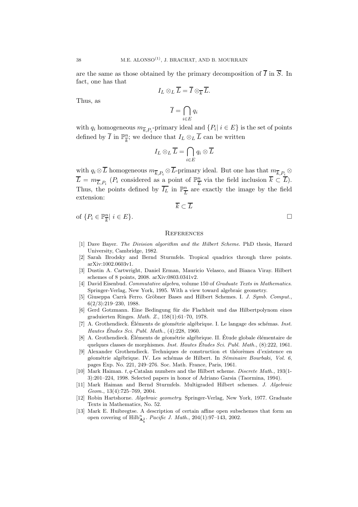are the same as those obtained by the primary decomposition of  $\overline{I}$  in  $\overline{S}$ . In fact, one has that

$$
I_L \otimes_L \overline{L} = \overline{I} \otimes_{\overline{k}} \overline{L}.
$$

Thus, as

$$
\overline{I}=\bigcap_{i\in E}q_i
$$

with  $q_i$  homogeneous  $m_{\overline{k},P_i}$ -primary ideal and  $\{P_i \mid i \in E\}$  is the set of points defined by  $\overline{I}$  in  $\mathbb{P}^n_{\overline{I}_n}$  $\frac{n}{k}$ ; we deduce that  $I_L \otimes_L L$  can be written

$$
I_L \otimes_L \overline{L} = \bigcap_{i \in E} q_i \otimes \overline{L}
$$

with  $q_i \otimes L$  homogeneous  $m_{\overline{k},P_i} \otimes L$ -primary ideal. But one has that  $m_{\overline{k},P_i} \otimes L$  $\overline{L} = m_{\overline{L}, P_i}$  ( $P_i$  considered as a point of  $\mathbb{P}_{\overline{L}}^n$  $\frac{n}{L}$  via the field inclusion  $k \subset L$ ). Thus, the points defined by  $\overline{I_L}$  in  $\mathbb{P}^n_{\overline{I}}$  $\frac{n}{L}$  are exactly the image by the field extension:

 $\overline{k} \subset \overline{L}$ 

of 
$$
\{P_i \in \mathbb{P}_{\overline{k}}^n | i \in E\}
$$
.

### **REFERENCES**

- [1] Dave Bayer. The Division algorithm and the Hilbert Scheme. PhD thesis, Havard University, Cambridge, 1982.
- [2] Sarah Brodsky and Bernd Sturmfels. Tropical quadrics through three points. arXiv:1002.0603v1.
- [3] Dustin A. Cartwright, Daniel Erman, Mauricio Velasco, and Bianca Viray. Hilbert schemes of 8 points, 2008. arXiv:0803.0341v2.
- [4] David Eisenbud. Commutative algebra, volume 150 of Graduate Texts in Mathematics. Springer-Verlag, New York, 1995. With a view toward algebraic geometry.
- [5] Giuseppa Carrà Ferro. Gröbner Bases and Hilbert Schemes. I. J. Symb. Comput., 6(2/3):219–230, 1988.
- [6] Gerd Gotzmann. Eine Bedingung für die Flachheit und das Hilbertpolynom eines graduierten Ringes. Math. Z., 158(1):61–70, 1978.
- [7] A. Grothendieck. Eléments de géométrie algébrique. I. Le langage des schémas. Inst. Hautes Études Sci. Publ. Math.,  $(4):228, 1960$ .
- [8] A. Grothendieck. Éléments de géométrie algébrique. II. Étude globale élémentaire de quelques classes de morphismes. *Inst. Hautes Études Sci. Publ. Math.*,  $(8)$ :222, 1961.
- [9] Alexander Grothendieck. Techniques de construction et théorèmes d'existence en géométrie algébrique. IV. Les schémas de Hilbert. In Séminaire Bourbaki, Vol. 6, pages Exp. No. 221, 249–276. Soc. Math. France, Paris, 1961.
- [10] Mark Haiman. t, q-Catalan numbers and the Hilbert scheme. Discrete Math., 193(1- 3):201–224, 1998. Selected papers in honor of Adriano Garsia (Taormina, 1994).
- [11] Mark Haiman and Bernd Sturmfels. Multigraded Hilbert schemes. J. Algebraic Geom., 13(4):725–769, 2004.
- [12] Robin Hartshorne. Algebraic geometry. Springer-Verlag, New York, 1977. Graduate Texts in Mathematics, No. 52.
- [13] Mark E. Huibregtse. A description of certain affine open subschemes that form an open covering of  $Hilb^n_{\mathbf{A}^2_k}$ . *Pacific J. Math.*, 204(1):97–143, 2002.

<span id="page-38-0"></span>